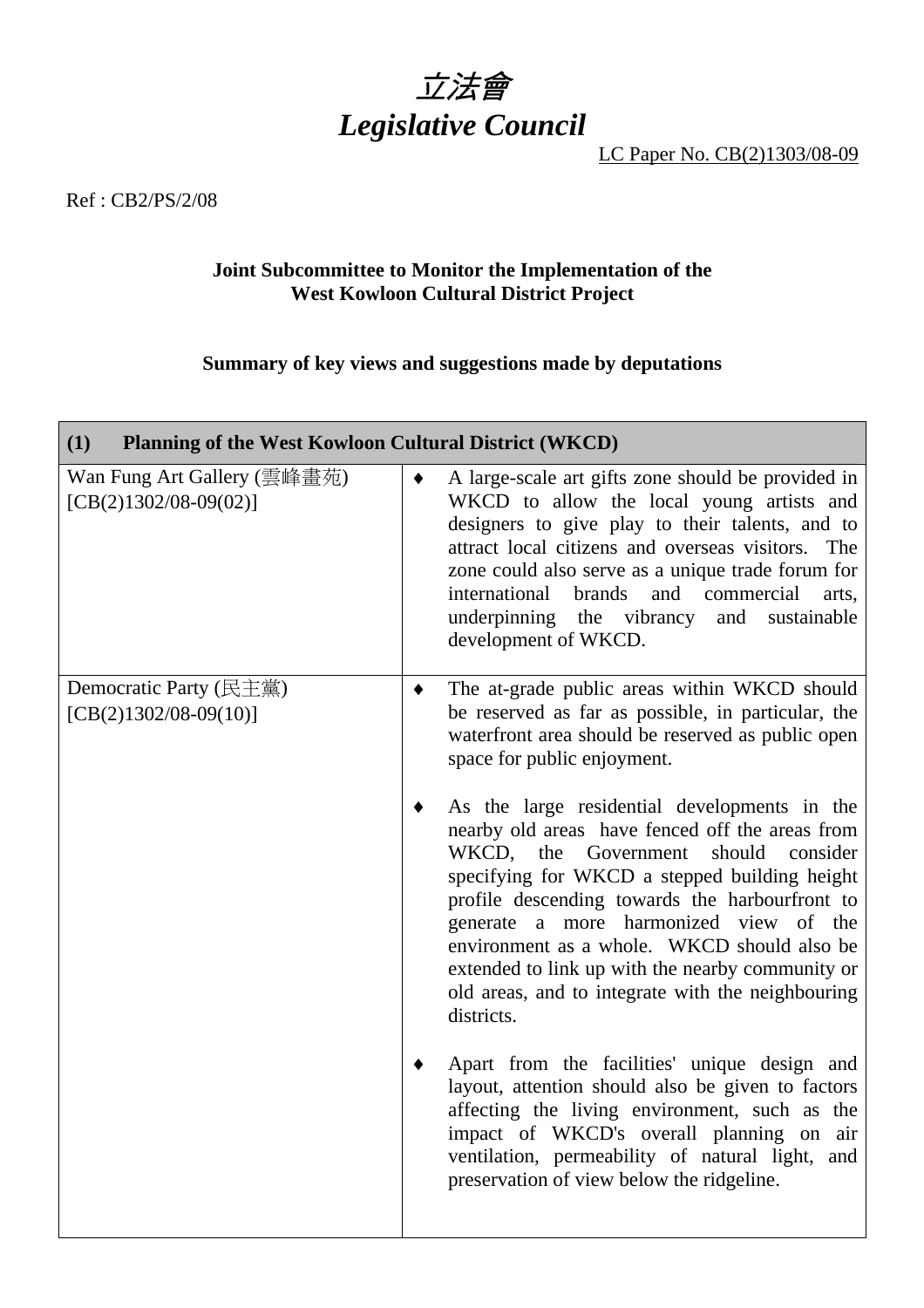

Ref : CB2/PS/2/08

## **Joint Subcommittee to Monitor the Implementation of the West Kowloon Cultural District Project**

**Summary of key views and suggestions made by deputations** 

| Planning of the West Kowloon Cultural District (WKCD)<br>(1) |                                                                                                                                                                                                                                                                                                                                                                                                                                                                                                                                                                                                                                                                                                                                                                                                                                                                                                                                                                    |
|--------------------------------------------------------------|--------------------------------------------------------------------------------------------------------------------------------------------------------------------------------------------------------------------------------------------------------------------------------------------------------------------------------------------------------------------------------------------------------------------------------------------------------------------------------------------------------------------------------------------------------------------------------------------------------------------------------------------------------------------------------------------------------------------------------------------------------------------------------------------------------------------------------------------------------------------------------------------------------------------------------------------------------------------|
| Wan Fung Art Gallery (雲峰畫苑)<br>$[CB(2)1302/08-09(02)]$       | A large-scale art gifts zone should be provided in<br>♦<br>WKCD to allow the local young artists and<br>designers to give play to their talents, and to<br>attract local citizens and overseas visitors. The<br>zone could also serve as a unique trade forum for<br>brands<br>and<br>commercial<br>international<br>arts,<br>underpinning the vibrancy<br>and<br>sustainable<br>development of WKCD.                                                                                                                                                                                                                                                                                                                                                                                                                                                                                                                                                              |
| Democratic Party (民主黨)<br>$[CB(2)1302/08-09(10)]$            | The at-grade public areas within WKCD should<br>be reserved as far as possible, in particular, the<br>waterfront area should be reserved as public open<br>space for public enjoyment.<br>As the large residential developments in the<br>nearby old areas have fenced off the areas from<br>WKCD,<br>Government<br>should<br>consider<br>the<br>specifying for WKCD a stepped building height<br>profile descending towards the harbourfront to<br>generate a more harmonized view of the<br>environment as a whole. WKCD should also be<br>extended to link up with the nearby community or<br>old areas, and to integrate with the neighbouring<br>districts.<br>Apart from the facilities' unique design and<br>layout, attention should also be given to factors<br>affecting the living environment, such as the<br>impact of WKCD's overall planning on air<br>ventilation, permeability of natural light, and<br>preservation of view below the ridgeline. |
|                                                              |                                                                                                                                                                                                                                                                                                                                                                                                                                                                                                                                                                                                                                                                                                                                                                                                                                                                                                                                                                    |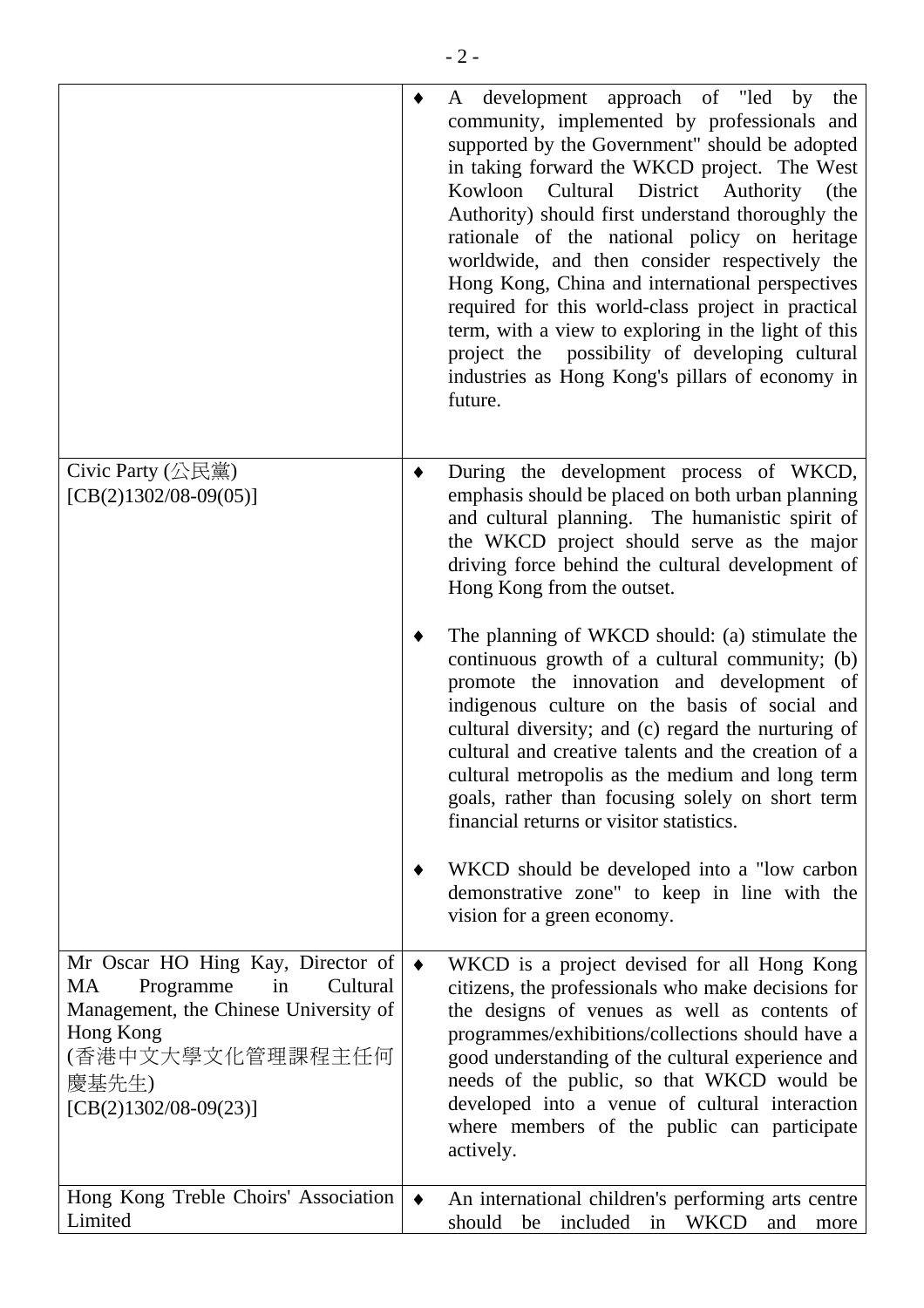|                                                                                                                                                                                      |   | A development approach of "led by<br>the<br>community, implemented by professionals and<br>supported by the Government" should be adopted<br>in taking forward the WKCD project. The West<br>Cultural District<br>Authority<br>Kowloon<br>(the<br>Authority) should first understand thoroughly the<br>rationale of the national policy on heritage<br>worldwide, and then consider respectively the<br>Hong Kong, China and international perspectives<br>required for this world-class project in practical<br>term, with a view to exploring in the light of this<br>project the possibility of developing cultural<br>industries as Hong Kong's pillars of economy in<br>future. |
|--------------------------------------------------------------------------------------------------------------------------------------------------------------------------------------|---|--------------------------------------------------------------------------------------------------------------------------------------------------------------------------------------------------------------------------------------------------------------------------------------------------------------------------------------------------------------------------------------------------------------------------------------------------------------------------------------------------------------------------------------------------------------------------------------------------------------------------------------------------------------------------------------|
| Civic Party $(\triangle \mathbb{R}$ 黨)<br>$[CB(2)1302/08-09(05)]$                                                                                                                    |   | During the development process of WKCD,<br>emphasis should be placed on both urban planning<br>and cultural planning. The humanistic spirit of<br>the WKCD project should serve as the major<br>driving force behind the cultural development of<br>Hong Kong from the outset.                                                                                                                                                                                                                                                                                                                                                                                                       |
|                                                                                                                                                                                      |   | The planning of WKCD should: (a) stimulate the<br>continuous growth of a cultural community; (b)<br>promote the innovation and development of<br>indigenous culture on the basis of social and<br>cultural diversity; and (c) regard the nurturing of<br>cultural and creative talents and the creation of a<br>cultural metropolis as the medium and long term<br>goals, rather than focusing solely on short term<br>financial returns or visitor statistics.                                                                                                                                                                                                                      |
|                                                                                                                                                                                      |   | WKCD should be developed into a "low carbon"<br>demonstrative zone" to keep in line with the<br>vision for a green economy.                                                                                                                                                                                                                                                                                                                                                                                                                                                                                                                                                          |
| Mr Oscar HO Hing Kay, Director of<br>Cultural<br>MA<br>Programme<br>in<br>Management, the Chinese University of<br>Hong Kong<br>(香港中文大學文化管理課程主任何<br>慶基先生)<br>$[CB(2)1302/08-09(23)]$ | ٠ | WKCD is a project devised for all Hong Kong<br>citizens, the professionals who make decisions for<br>the designs of venues as well as contents of<br>programmes/exhibitions/collections should have a<br>good understanding of the cultural experience and<br>needs of the public, so that WKCD would be<br>developed into a venue of cultural interaction<br>where members of the public can participate<br>actively.                                                                                                                                                                                                                                                               |
| Hong Kong Treble Choirs' Association<br>Limited                                                                                                                                      |   | An international children's performing arts centre<br>should<br>included<br><b>WKCD</b><br>be<br>in<br>and<br>more                                                                                                                                                                                                                                                                                                                                                                                                                                                                                                                                                                   |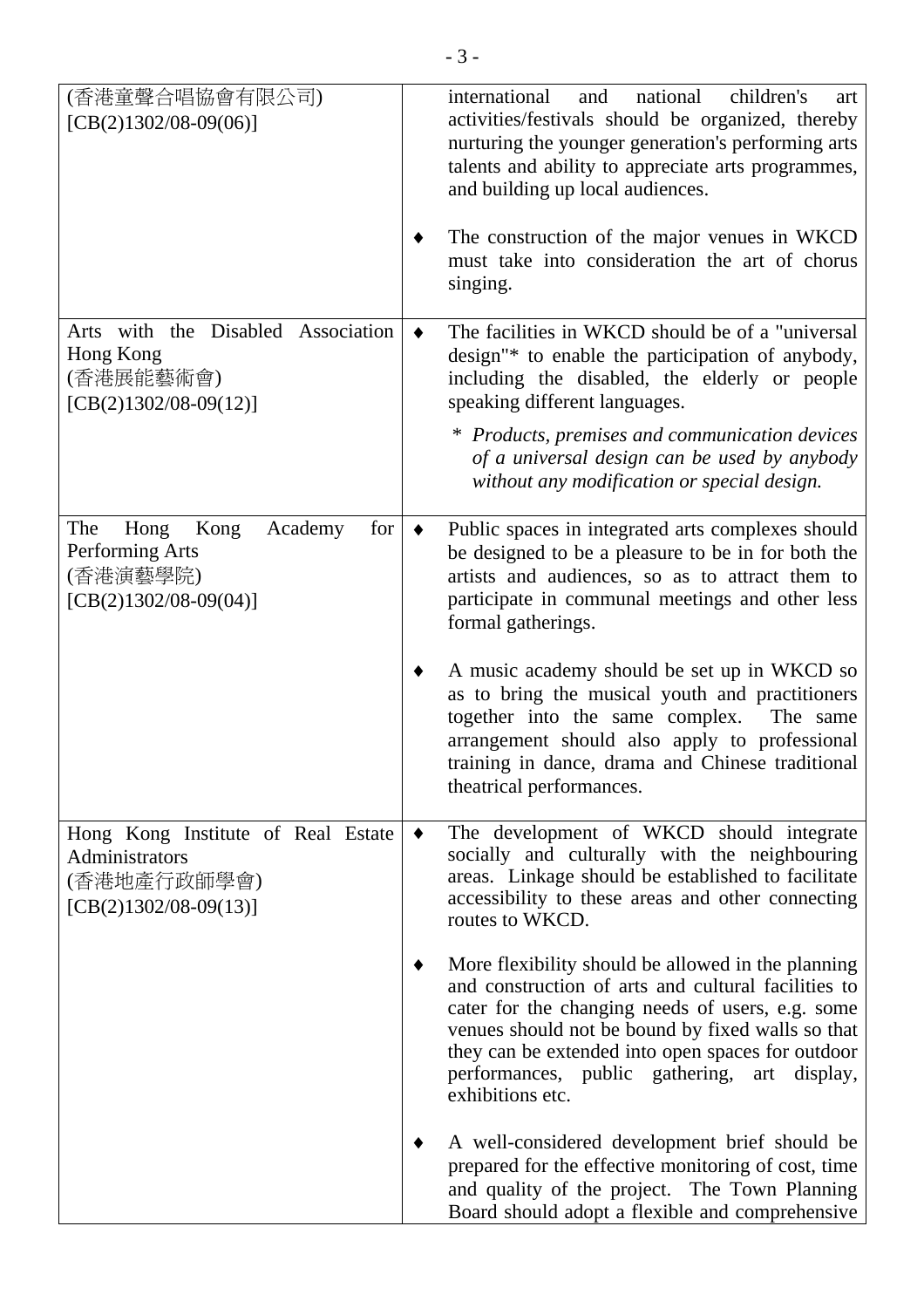| (香港童聲合唱協會有限公司)<br>$[CB(2)1302/08-09(06)]$                                                       |   | international<br>national<br>children's<br>and<br>art<br>activities/festivals should be organized, thereby<br>nurturing the younger generation's performing arts<br>talents and ability to appreciate arts programmes,<br>and building up local audiences.                                                                                  |
|-------------------------------------------------------------------------------------------------|---|---------------------------------------------------------------------------------------------------------------------------------------------------------------------------------------------------------------------------------------------------------------------------------------------------------------------------------------------|
|                                                                                                 |   | The construction of the major venues in WKCD<br>must take into consideration the art of chorus<br>singing.                                                                                                                                                                                                                                  |
| Association<br>Arts with the Disabled<br>Hong Kong<br>(香港展能藝術會)<br>$[CB(2)1302/08-09(12)]$      | ٠ | The facilities in WKCD should be of a "universal"<br>design"* to enable the participation of anybody,<br>including the disabled, the elderly or people<br>speaking different languages.                                                                                                                                                     |
|                                                                                                 |   | * Products, premises and communication devices<br>of a universal design can be used by anybody<br>without any modification or special design.                                                                                                                                                                                               |
| The<br>Hong<br>Kong<br>Academy<br>for<br>Performing Arts<br>(香港演藝學院)<br>$[CB(2)1302/08-09(04)]$ | ٠ | Public spaces in integrated arts complexes should<br>be designed to be a pleasure to be in for both the<br>artists and audiences, so as to attract them to<br>participate in communal meetings and other less<br>formal gatherings.                                                                                                         |
|                                                                                                 |   | A music academy should be set up in WKCD so<br>as to bring the musical youth and practitioners<br>together into the same complex.<br>The same<br>arrangement should also apply to professional<br>training in dance, drama and Chinese traditional<br>theatrical performances.                                                              |
| Hong Kong Institute of Real Estate<br>Administrators<br>(香港地產行政師學會)<br>$[CB(2)1302/08-09(13)]$  | ٠ | The development of WKCD should integrate<br>socially and culturally with the neighbouring<br>areas. Linkage should be established to facilitate<br>accessibility to these areas and other connecting<br>routes to WKCD.                                                                                                                     |
|                                                                                                 |   | More flexibility should be allowed in the planning<br>and construction of arts and cultural facilities to<br>cater for the changing needs of users, e.g. some<br>venues should not be bound by fixed walls so that<br>they can be extended into open spaces for outdoor<br>performances, public gathering, art display,<br>exhibitions etc. |
|                                                                                                 |   | A well-considered development brief should be<br>prepared for the effective monitoring of cost, time<br>and quality of the project. The Town Planning<br>Board should adopt a flexible and comprehensive                                                                                                                                    |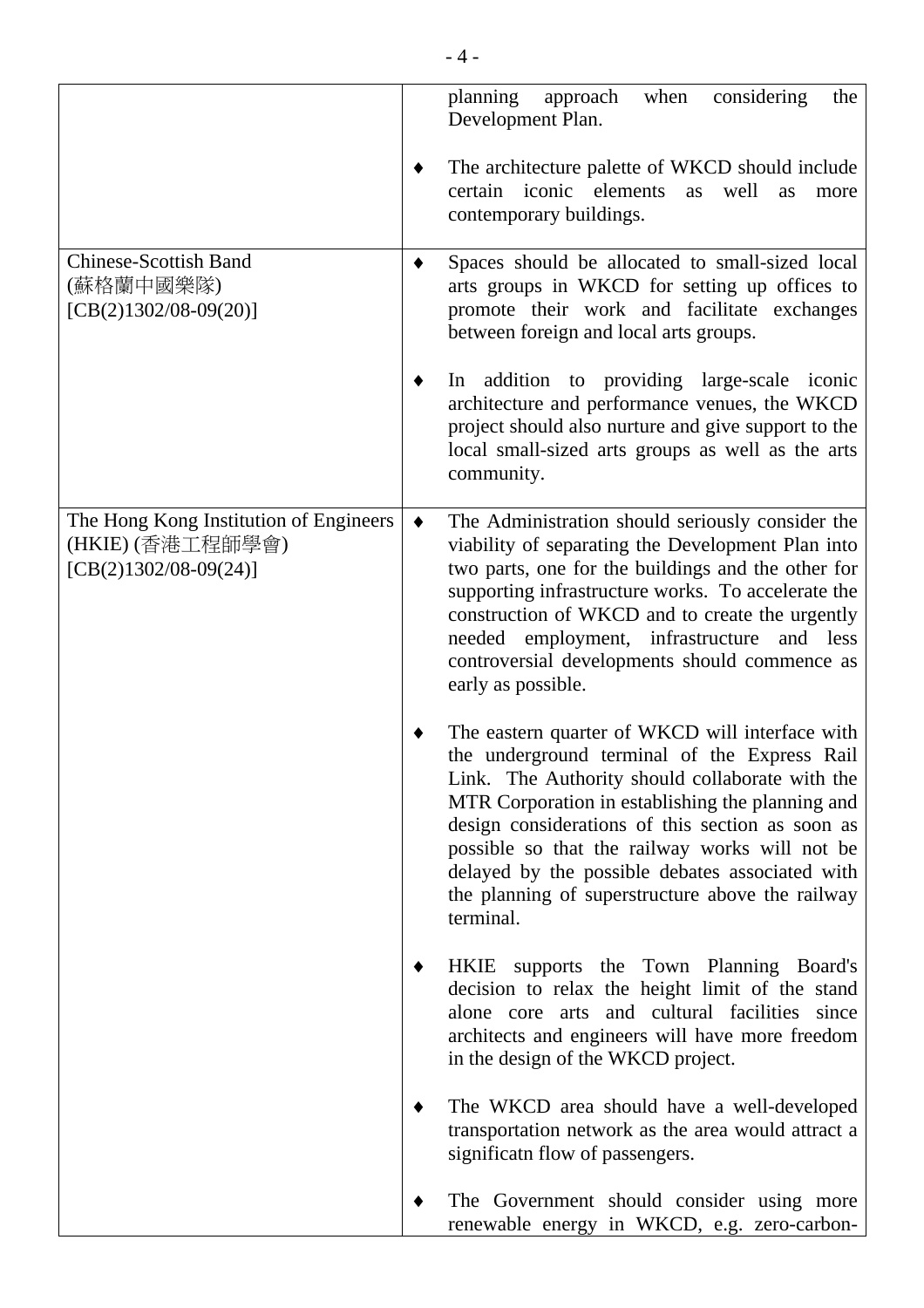|                                                                                       |   | planning<br>considering<br>when<br>approach<br>the<br>Development Plan.                                                                                                                                                                                                                                                                                                                                                          |
|---------------------------------------------------------------------------------------|---|----------------------------------------------------------------------------------------------------------------------------------------------------------------------------------------------------------------------------------------------------------------------------------------------------------------------------------------------------------------------------------------------------------------------------------|
|                                                                                       |   | The architecture palette of WKCD should include<br>certain iconic elements<br>well<br>as<br>as<br>more<br>contemporary buildings.                                                                                                                                                                                                                                                                                                |
| <b>Chinese-Scottish Band</b><br>(蘇格蘭中國樂隊)<br>$[CB(2)1302/08-09(20)]$                  |   | Spaces should be allocated to small-sized local<br>arts groups in WKCD for setting up offices to<br>promote their work and facilitate exchanges<br>between foreign and local arts groups.                                                                                                                                                                                                                                        |
|                                                                                       |   | In addition to providing large-scale iconic<br>architecture and performance venues, the WKCD<br>project should also nurture and give support to the<br>local small-sized arts groups as well as the arts<br>community.                                                                                                                                                                                                           |
| The Hong Kong Institution of Engineers<br>(HKIE) (香港工程師學會)<br>$[CB(2)1302/08-09(24)]$ | ٠ | The Administration should seriously consider the<br>viability of separating the Development Plan into<br>two parts, one for the buildings and the other for<br>supporting infrastructure works. To accelerate the<br>construction of WKCD and to create the urgently<br>needed employment, infrastructure<br>and less<br>controversial developments should commence as<br>early as possible.                                     |
|                                                                                       |   | The eastern quarter of WKCD will interface with<br>the underground terminal of the Express Rail<br>Link. The Authority should collaborate with the<br>MTR Corporation in establishing the planning and<br>design considerations of this section as soon as<br>possible so that the railway works will not be<br>delayed by the possible debates associated with<br>the planning of superstructure above the railway<br>terminal. |
|                                                                                       |   | HKIE supports the Town Planning Board's<br>decision to relax the height limit of the stand<br>alone core arts and cultural facilities since<br>architects and engineers will have more freedom<br>in the design of the WKCD project.                                                                                                                                                                                             |
|                                                                                       |   | The WKCD area should have a well-developed<br>transportation network as the area would attract a<br>significath flow of passengers.                                                                                                                                                                                                                                                                                              |
|                                                                                       |   | The Government should consider using more<br>renewable energy in WKCD, e.g. zero-carbon-                                                                                                                                                                                                                                                                                                                                         |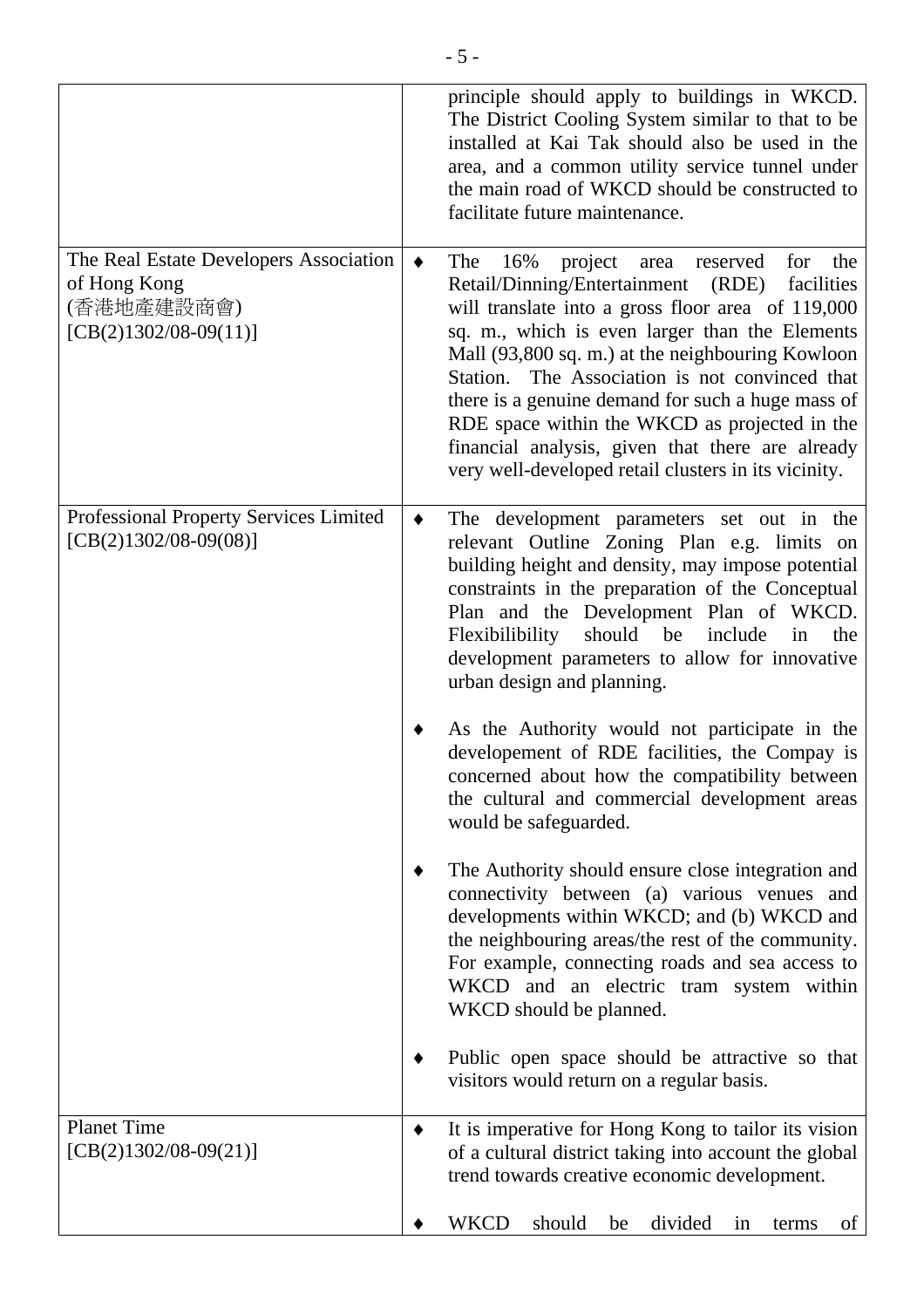|                                                                                                 |   | principle should apply to buildings in WKCD.<br>The District Cooling System similar to that to be<br>installed at Kai Tak should also be used in the<br>area, and a common utility service tunnel under<br>the main road of WKCD should be constructed to<br>facilitate future maintenance.                                                                                                                                                                                                                                                   |
|-------------------------------------------------------------------------------------------------|---|-----------------------------------------------------------------------------------------------------------------------------------------------------------------------------------------------------------------------------------------------------------------------------------------------------------------------------------------------------------------------------------------------------------------------------------------------------------------------------------------------------------------------------------------------|
| The Real Estate Developers Association<br>of Hong Kong<br>(香港地產建設商會)<br>$[CB(2)1302/08-09(11)]$ | ٠ | 16%<br>project<br>reserved<br>for<br>the<br>The<br>area<br>Retail/Dinning/Entertainment<br>(RDE)<br>facilities<br>will translate into a gross floor area of 119,000<br>sq. m., which is even larger than the Elements<br>Mall (93,800 sq. m.) at the neighbouring Kowloon<br>Station. The Association is not convinced that<br>there is a genuine demand for such a huge mass of<br>RDE space within the WKCD as projected in the<br>financial analysis, given that there are already<br>very well-developed retail clusters in its vicinity. |
| <b>Professional Property Services Limited</b><br>$[CB(2)1302/08-09(08)]$                        | ٠ | The development parameters set out in the<br>relevant Outline Zoning Plan e.g. limits on<br>building height and density, may impose potential<br>constraints in the preparation of the Conceptual<br>Plan and the Development Plan of WKCD.<br>should<br>include<br>Flexibilibility<br>be<br>in<br>the<br>development parameters to allow for innovative<br>urban design and planning.                                                                                                                                                        |
|                                                                                                 |   | As the Authority would not participate in the<br>developement of RDE facilities, the Compay is<br>concerned about how the compatibility between<br>the cultural and commercial development areas<br>would be safeguarded.                                                                                                                                                                                                                                                                                                                     |
|                                                                                                 |   | The Authority should ensure close integration and<br>connectivity between (a) various venues and<br>developments within WKCD; and (b) WKCD and<br>the neighbouring areas/the rest of the community.<br>For example, connecting roads and sea access to<br>WKCD and an electric tram system within<br>WKCD should be planned.                                                                                                                                                                                                                  |
|                                                                                                 |   | Public open space should be attractive so that<br>visitors would return on a regular basis.                                                                                                                                                                                                                                                                                                                                                                                                                                                   |
| <b>Planet Time</b><br>$[CB(2)1302/08-09(21)]$                                                   |   | It is imperative for Hong Kong to tailor its vision<br>of a cultural district taking into account the global<br>trend towards creative economic development.                                                                                                                                                                                                                                                                                                                                                                                  |
|                                                                                                 |   | <b>WKCD</b><br>should<br>divided<br>be<br>of<br>in<br>terms                                                                                                                                                                                                                                                                                                                                                                                                                                                                                   |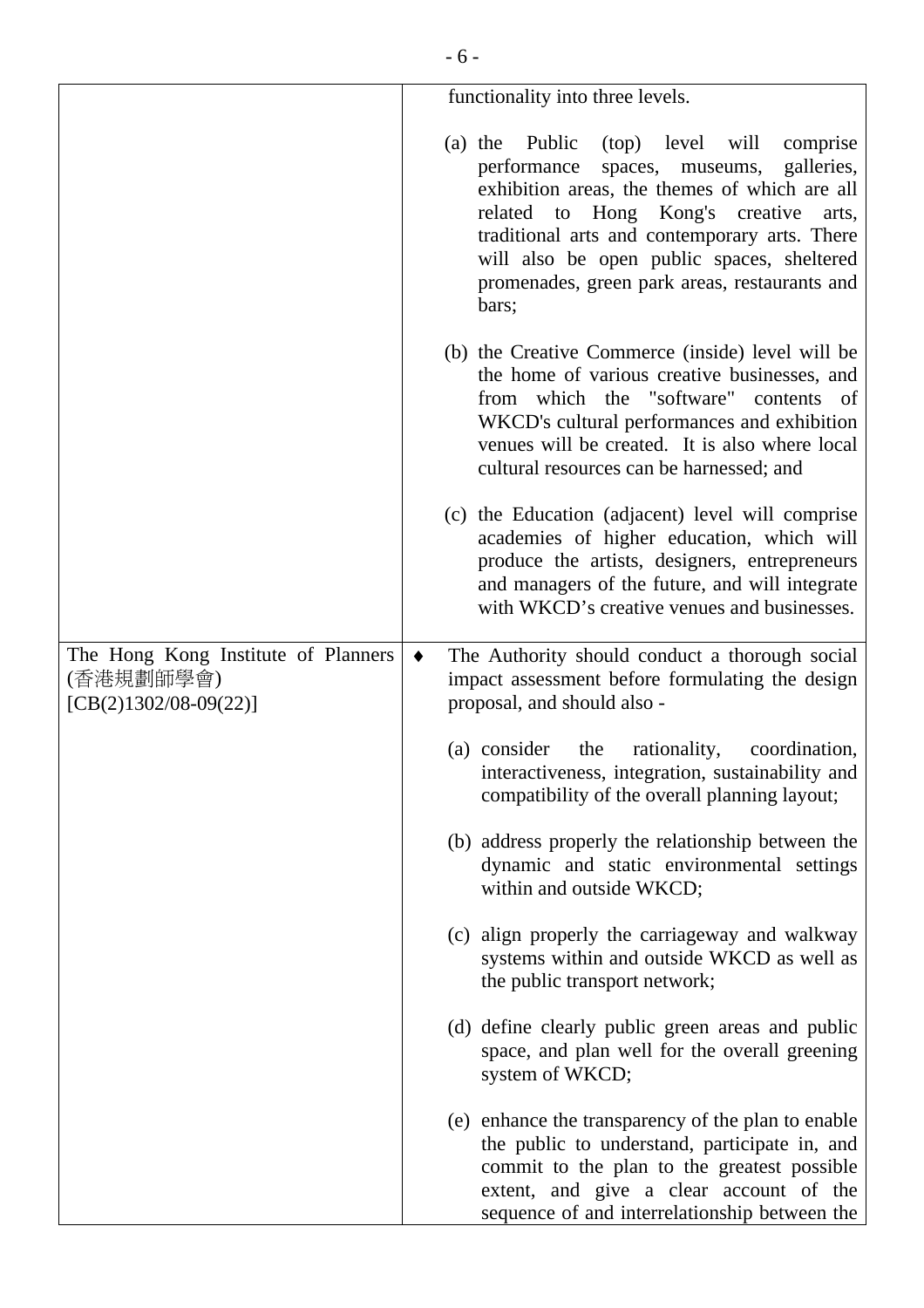|                                                                             | functionality into three levels.                                                                                                                                                                                                                                                                                                                   |
|-----------------------------------------------------------------------------|----------------------------------------------------------------------------------------------------------------------------------------------------------------------------------------------------------------------------------------------------------------------------------------------------------------------------------------------------|
|                                                                             | (a) the Public<br>(top) level will<br>comprise<br>performance<br>spaces, museums, galleries,<br>exhibition areas, the themes of which are all<br>related to Hong Kong's creative<br>arts,<br>traditional arts and contemporary arts. There<br>will also be open public spaces, sheltered<br>promenades, green park areas, restaurants and<br>bars; |
|                                                                             | (b) the Creative Commerce (inside) level will be<br>the home of various creative businesses, and<br>from which the "software" contents of<br>WKCD's cultural performances and exhibition<br>venues will be created. It is also where local<br>cultural resources can be harnessed; and                                                             |
|                                                                             | (c) the Education (adjacent) level will comprise<br>academies of higher education, which will<br>produce the artists, designers, entrepreneurs<br>and managers of the future, and will integrate<br>with WKCD's creative venues and businesses.                                                                                                    |
| The Hong Kong Institute of Planners<br>(香港規劃師學會)<br>$[CB(2)1302/08-09(22)]$ | The Authority should conduct a thorough social<br>٠<br>impact assessment before formulating the design<br>proposal, and should also -                                                                                                                                                                                                              |
|                                                                             | (a) consider<br>the<br>rationality,<br>coordination,<br>interactiveness, integration, sustainability and<br>compatibility of the overall planning layout;                                                                                                                                                                                          |
|                                                                             | (b) address properly the relationship between the<br>dynamic and static environmental settings<br>within and outside WKCD;                                                                                                                                                                                                                         |
|                                                                             | (c) align properly the carriageway and walkway<br>systems within and outside WKCD as well as<br>the public transport network;                                                                                                                                                                                                                      |
|                                                                             | (d) define clearly public green areas and public<br>space, and plan well for the overall greening<br>system of WKCD;                                                                                                                                                                                                                               |
|                                                                             | (e) enhance the transparency of the plan to enable<br>the public to understand, participate in, and<br>commit to the plan to the greatest possible<br>extent, and give a clear account of the<br>sequence of and interrelationship between the                                                                                                     |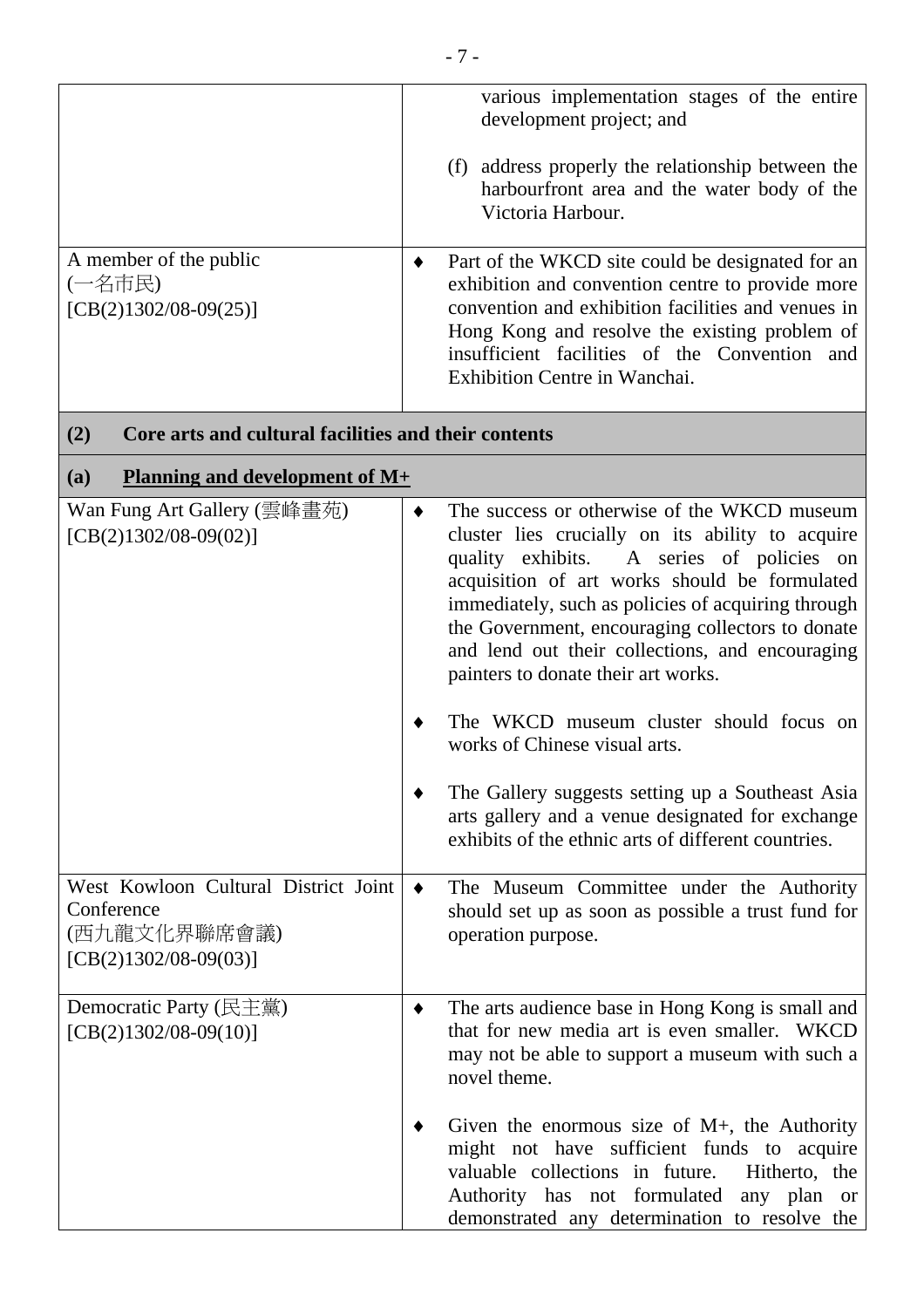|                                                                                                | various implementation stages of the entire<br>development project; and                                                                                                                                                                                                                                                                                                                                                                                                                                                                                                                                                                                                                                    |
|------------------------------------------------------------------------------------------------|------------------------------------------------------------------------------------------------------------------------------------------------------------------------------------------------------------------------------------------------------------------------------------------------------------------------------------------------------------------------------------------------------------------------------------------------------------------------------------------------------------------------------------------------------------------------------------------------------------------------------------------------------------------------------------------------------------|
|                                                                                                | (f) address properly the relationship between the<br>harbourfront area and the water body of the<br>Victoria Harbour.                                                                                                                                                                                                                                                                                                                                                                                                                                                                                                                                                                                      |
| A member of the public<br>(一名市民)<br>$[CB(2)1302/08-09(25)]$                                    | Part of the WKCD site could be designated for an<br>٠<br>exhibition and convention centre to provide more<br>convention and exhibition facilities and venues in<br>Hong Kong and resolve the existing problem of<br>insufficient facilities of the Convention and<br>Exhibition Centre in Wanchai.                                                                                                                                                                                                                                                                                                                                                                                                         |
| Core arts and cultural facilities and their contents<br>(2)                                    |                                                                                                                                                                                                                                                                                                                                                                                                                                                                                                                                                                                                                                                                                                            |
| Planning and development of M+<br>(a)                                                          |                                                                                                                                                                                                                                                                                                                                                                                                                                                                                                                                                                                                                                                                                                            |
| Wan Fung Art Gallery (雲峰畫苑)<br>$[CB(2)1302/08-09(02)]$<br>West Kowloon Cultural District Joint | The success or otherwise of the WKCD museum<br>٠<br>cluster lies crucially on its ability to acquire<br>quality exhibits. A series of policies on<br>acquisition of art works should be formulated<br>immediately, such as policies of acquiring through<br>the Government, encouraging collectors to donate<br>and lend out their collections, and encouraging<br>painters to donate their art works.<br>The WKCD museum cluster should focus on<br>works of Chinese visual arts.<br>The Gallery suggests setting up a Southeast Asia<br>arts gallery and a venue designated for exchange<br>exhibits of the ethnic arts of different countries.<br>The Museum Committee under the Authority<br>$\bullet$ |
| Conference<br>(西九龍文化界聯席會議)<br>$[CB(2)1302/08-09(03)]$                                          | should set up as soon as possible a trust fund for<br>operation purpose.                                                                                                                                                                                                                                                                                                                                                                                                                                                                                                                                                                                                                                   |
| Democratic Party (民主黨)<br>$[CB(2)1302/08-09(10)]$                                              | The arts audience base in Hong Kong is small and<br>٠<br>that for new media art is even smaller. WKCD<br>may not be able to support a museum with such a<br>novel theme.                                                                                                                                                                                                                                                                                                                                                                                                                                                                                                                                   |
|                                                                                                | Given the enormous size of $M+$ , the Authority<br>might not have sufficient funds to acquire<br>valuable collections in future.<br>Hitherto, the<br>Authority has not formulated<br>any plan or<br>demonstrated any determination to resolve the                                                                                                                                                                                                                                                                                                                                                                                                                                                          |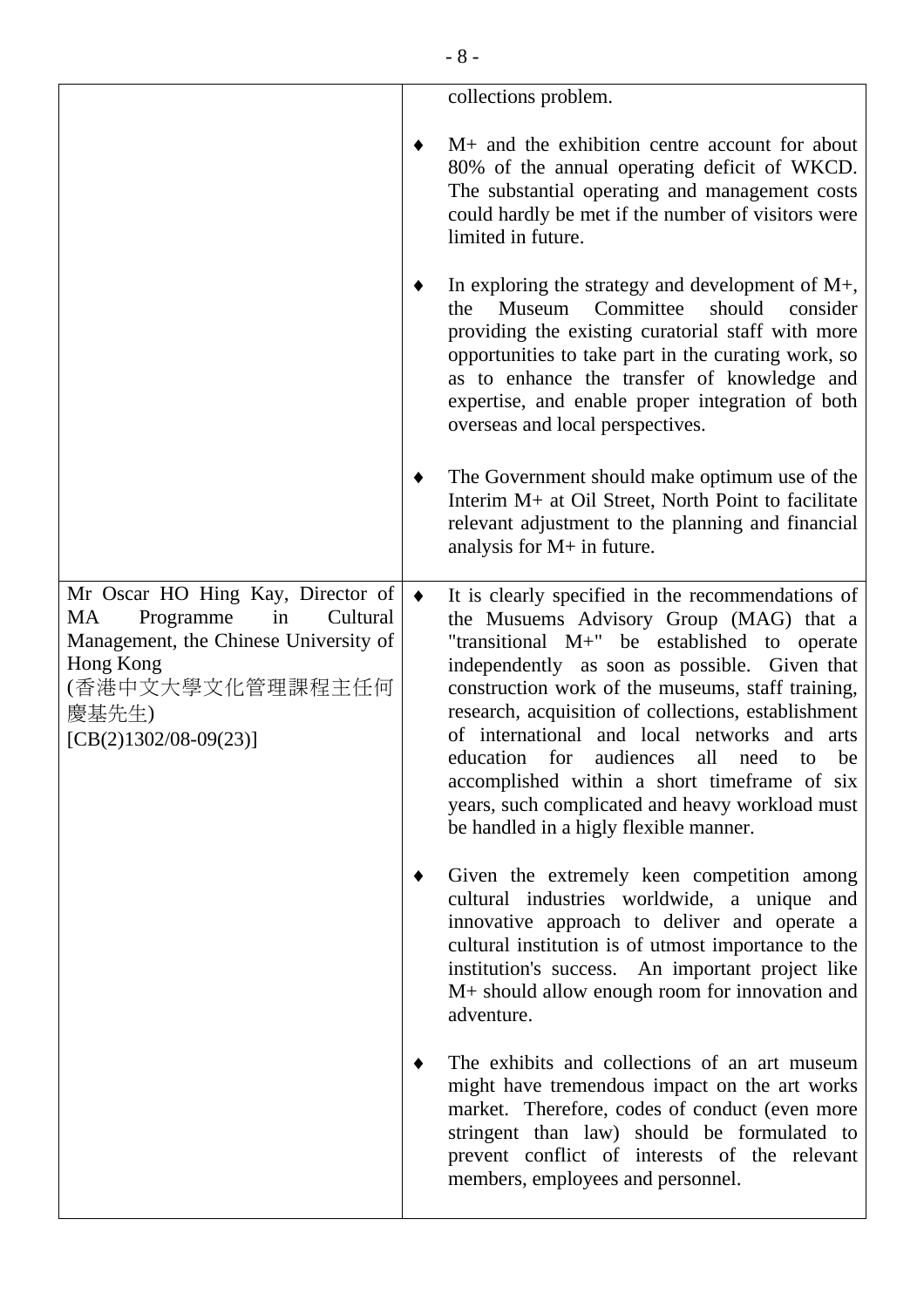|                                                                                                                                                                                      |                 | collections problem.                                                                                                                                                                                                                                                                                                                                                                                                                                                                                                                                                 |
|--------------------------------------------------------------------------------------------------------------------------------------------------------------------------------------|-----------------|----------------------------------------------------------------------------------------------------------------------------------------------------------------------------------------------------------------------------------------------------------------------------------------------------------------------------------------------------------------------------------------------------------------------------------------------------------------------------------------------------------------------------------------------------------------------|
|                                                                                                                                                                                      |                 | M+ and the exhibition centre account for about<br>80% of the annual operating deficit of WKCD.<br>The substantial operating and management costs<br>could hardly be met if the number of visitors were<br>limited in future.                                                                                                                                                                                                                                                                                                                                         |
|                                                                                                                                                                                      |                 | In exploring the strategy and development of $M_{+}$ ,<br>Committee<br>should<br>Museum<br>consider<br>the<br>providing the existing curatorial staff with more<br>opportunities to take part in the curating work, so<br>as to enhance the transfer of knowledge and<br>expertise, and enable proper integration of both<br>overseas and local perspectives.                                                                                                                                                                                                        |
|                                                                                                                                                                                      |                 | The Government should make optimum use of the<br>Interim M+ at Oil Street, North Point to facilitate<br>relevant adjustment to the planning and financial<br>analysis for $M+$ in future.                                                                                                                                                                                                                                                                                                                                                                            |
| Mr Oscar HO Hing Kay, Director of<br>MA<br>Programme<br>Cultural<br>in<br>Management, the Chinese University of<br>Hong Kong<br>(香港中文大學文化管理課程主任何<br>慶基先生)<br>$[CB(2)1302/08-09(23)]$ | $\blacklozenge$ | It is clearly specified in the recommendations of<br>the Musuems Advisory Group (MAG) that a<br>"transitional M+" be established to operate<br>independently as soon as possible. Given that<br>construction work of the museums, staff training,<br>research, acquisition of collections, establishment<br>of international and local networks and<br>arts<br>for<br>all<br>education<br>audiences<br>need<br>be<br>to<br>accomplished within a short timeframe of six<br>years, such complicated and heavy workload must<br>be handled in a higly flexible manner. |
|                                                                                                                                                                                      |                 | Given the extremely keen competition among<br>cultural industries worldwide, a unique and<br>innovative approach to deliver and operate a<br>cultural institution is of utmost importance to the<br>institution's success. An important project like<br>M+ should allow enough room for innovation and<br>adventure.                                                                                                                                                                                                                                                 |
|                                                                                                                                                                                      |                 | The exhibits and collections of an art museum<br>might have tremendous impact on the art works<br>market. Therefore, codes of conduct (even more<br>stringent than law) should be formulated to<br>prevent conflict of interests of the relevant<br>members, employees and personnel.                                                                                                                                                                                                                                                                                |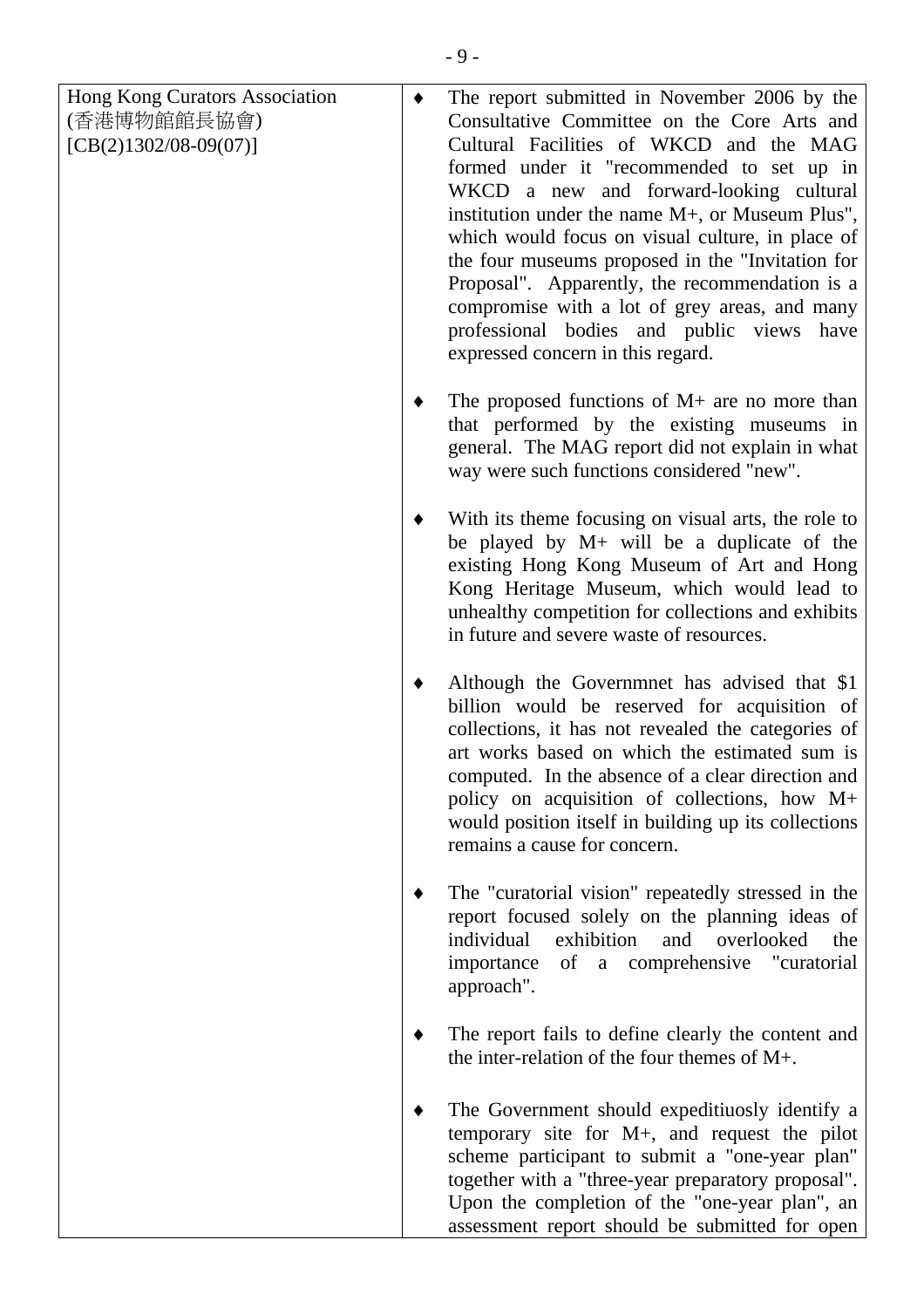| <b>Hong Kong Curators Association</b><br>(香港博物館館長協會)<br>$[CB(2)1302/08-09(07)]$ | The report submitted in November 2006 by the<br>Consultative Committee on the Core Arts and<br>Cultural Facilities of WKCD and the MAG<br>formed under it "recommended to set up in<br>WKCD a new and forward-looking cultural<br>institution under the name $M+$ , or Museum Plus",<br>which would focus on visual culture, in place of<br>the four museums proposed in the "Invitation for<br>Proposal". Apparently, the recommendation is a<br>compromise with a lot of grey areas, and many<br>professional bodies and public views have<br>expressed concern in this regard. |
|---------------------------------------------------------------------------------|-----------------------------------------------------------------------------------------------------------------------------------------------------------------------------------------------------------------------------------------------------------------------------------------------------------------------------------------------------------------------------------------------------------------------------------------------------------------------------------------------------------------------------------------------------------------------------------|
|                                                                                 | The proposed functions of $M$ + are no more than<br>that performed by the existing museums in<br>general. The MAG report did not explain in what<br>way were such functions considered "new".                                                                                                                                                                                                                                                                                                                                                                                     |
|                                                                                 | With its theme focusing on visual arts, the role to<br>be played by $M+$ will be a duplicate of the<br>existing Hong Kong Museum of Art and Hong<br>Kong Heritage Museum, which would lead to<br>unhealthy competition for collections and exhibits<br>in future and severe waste of resources.                                                                                                                                                                                                                                                                                   |
|                                                                                 | Although the Governmet has advised that \$1<br>billion would be reserved for acquisition of<br>collections, it has not revealed the categories of<br>art works based on which the estimated sum is<br>computed. In the absence of a clear direction and<br>policy on acquisition of collections, how M+<br>would position itself in building up its collections<br>remains a cause for concern.                                                                                                                                                                                   |
|                                                                                 | The "curatorial vision" repeatedly stressed in the<br>report focused solely on the planning ideas of<br>individual<br>exhibition<br>and<br>overlooked<br>the<br>importance of a comprehensive "curatorial<br>approach".                                                                                                                                                                                                                                                                                                                                                           |
|                                                                                 | The report fails to define clearly the content and<br>the inter-relation of the four themes of $M_{+}$ .                                                                                                                                                                                                                                                                                                                                                                                                                                                                          |
|                                                                                 | The Government should expeditionally identify a<br>temporary site for M+, and request the pilot<br>scheme participant to submit a "one-year plan"<br>together with a "three-year preparatory proposal".<br>Upon the completion of the "one-year plan", an<br>assessment report should be submitted for open                                                                                                                                                                                                                                                                       |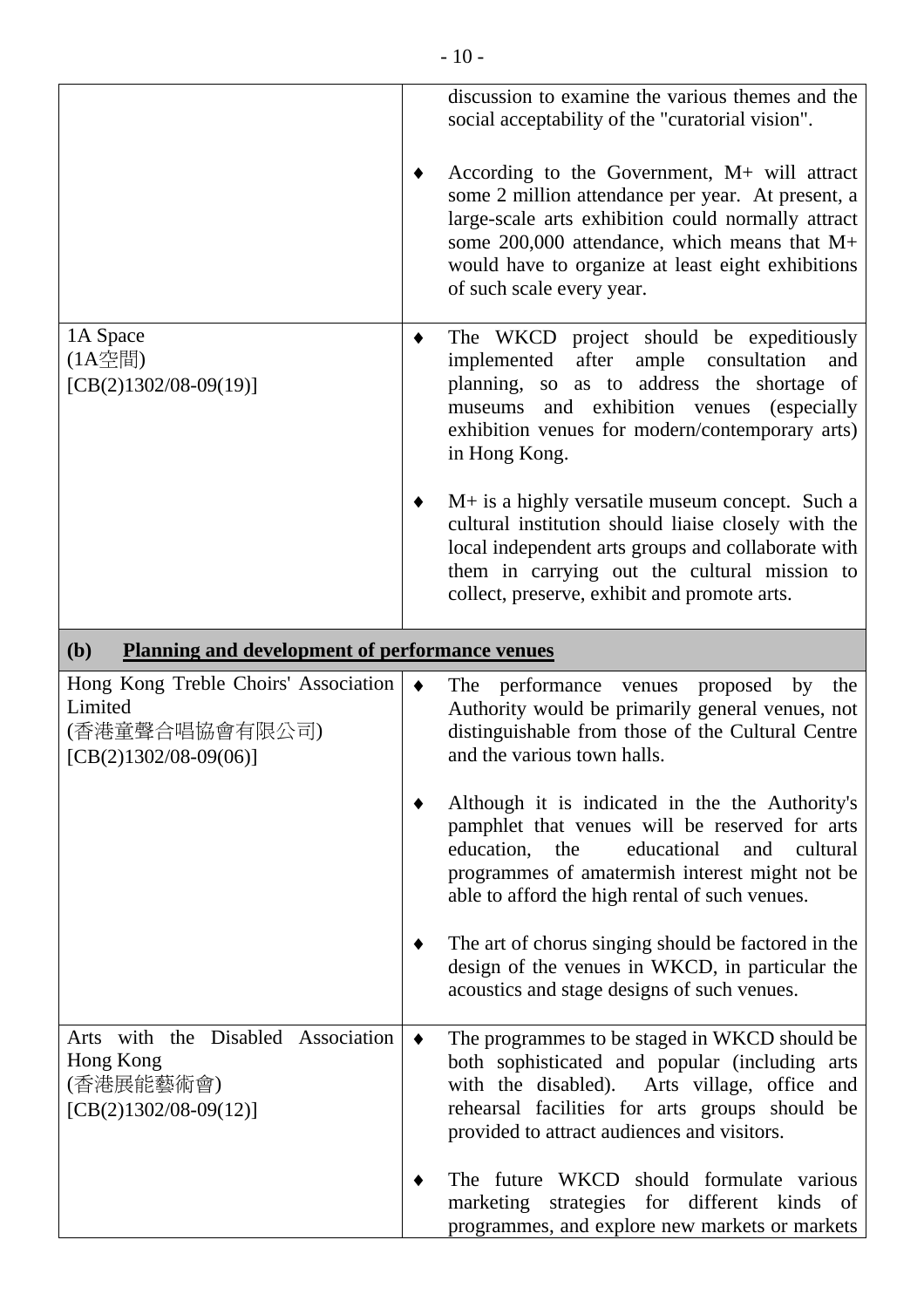|                                                                                              | discussion to examine the various themes and the<br>social acceptability of the "curatorial vision".                                                                                                                                                                                        |
|----------------------------------------------------------------------------------------------|---------------------------------------------------------------------------------------------------------------------------------------------------------------------------------------------------------------------------------------------------------------------------------------------|
|                                                                                              | According to the Government, $M+$ will attract<br>some 2 million attendance per year. At present, a<br>large-scale arts exhibition could normally attract<br>some 200,000 attendance, which means that M+<br>would have to organize at least eight exhibitions<br>of such scale every year. |
| 1A Space<br>(1A空間)<br>$[CB(2)1302/08-09(19)]$                                                | The WKCD project should be expeditiously<br>after<br>implemented<br>ample<br>consultation<br>and<br>planning, so as to address the shortage of<br>and exhibition venues<br>(especially)<br>museums<br>exhibition venues for modern/contemporary arts)<br>in Hong Kong.                      |
|                                                                                              | M+ is a highly versatile museum concept. Such a<br>cultural institution should liaise closely with the<br>local independent arts groups and collaborate with<br>them in carrying out the cultural mission to<br>collect, preserve, exhibit and promote arts.                                |
| (b)<br><b>Planning and development of performance venues</b>                                 |                                                                                                                                                                                                                                                                                             |
| Hong Kong Treble Choirs' Association<br>Limited<br>(香港童聲合唱協會有限公司)<br>$[CB(2)1302/08-09(06)]$ | performance<br>venues proposed<br>by<br>The<br>the<br>Authority would be primarily general venues, not<br>distinguishable from those of the Cultural Centre<br>and the various town halls.                                                                                                  |
|                                                                                              | Although it is indicated in the the Authority's<br>pamphlet that venues will be reserved for arts<br>education,<br>educational<br>the<br>cultural<br>and<br>programmes of amatermish interest might not be<br>able to afford the high rental of such venues.                                |
|                                                                                              | The art of chorus singing should be factored in the<br>design of the venues in WKCD, in particular the<br>acoustics and stage designs of such venues.                                                                                                                                       |
| Arts with the Disabled Association<br>Hong Kong<br>(香港展能藝術會)<br>$[CB(2)1302/08-09(12)]$      | The programmes to be staged in WKCD should be<br>both sophisticated and popular (including arts<br>with the disabled). Arts village, office and<br>rehearsal facilities for arts groups should be<br>provided to attract audiences and visitors.                                            |
|                                                                                              | The future WKCD should formulate various<br>marketing strategies for different kinds of<br>programmes, and explore new markets or markets                                                                                                                                                   |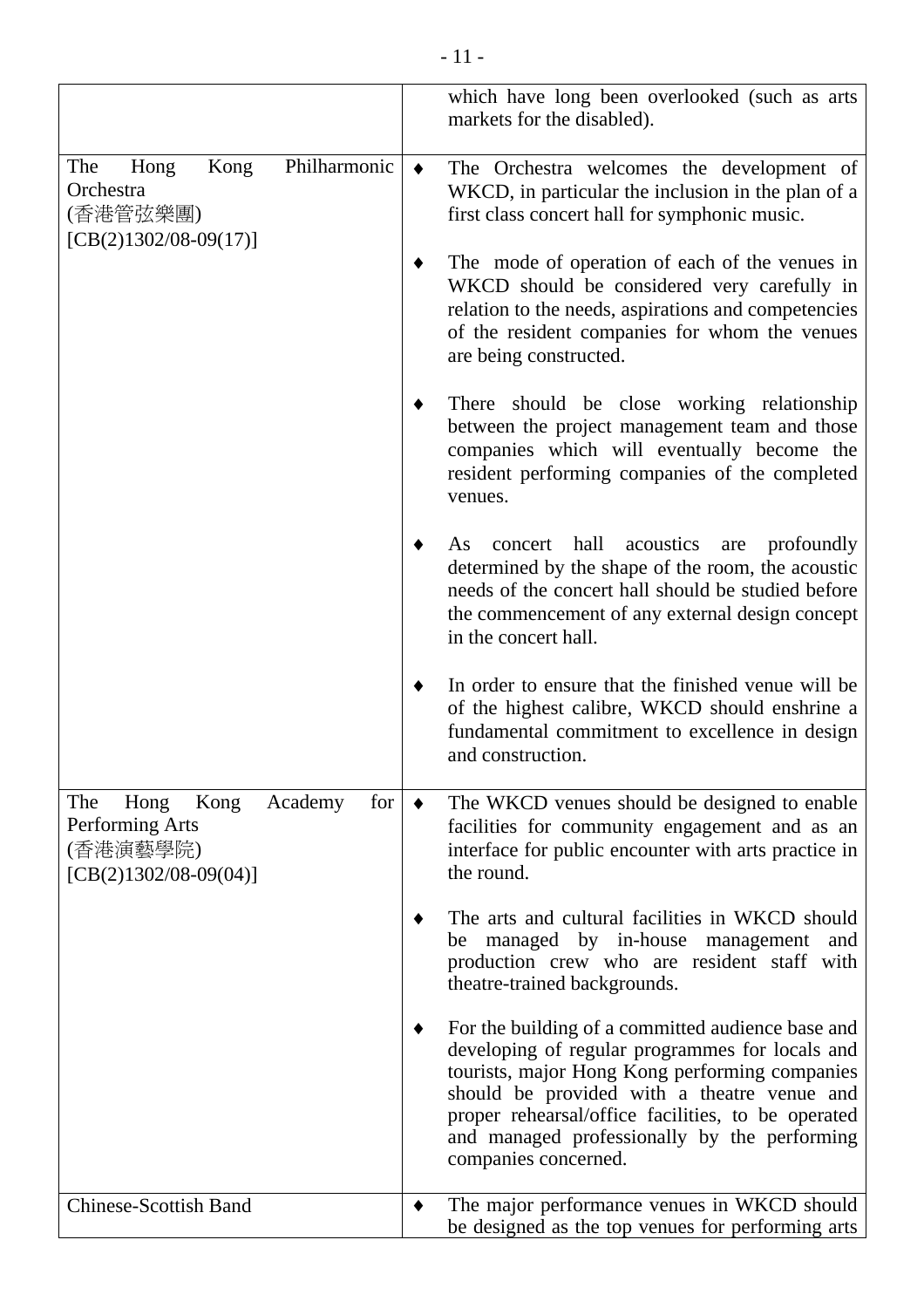|                                                                                                 |                 | which have long been overlooked (such as arts<br>markets for the disabled).                                                                                                                                                                                                                                                         |
|-------------------------------------------------------------------------------------------------|-----------------|-------------------------------------------------------------------------------------------------------------------------------------------------------------------------------------------------------------------------------------------------------------------------------------------------------------------------------------|
| Philharmonic<br>Hong<br>Kong<br>The<br>Orchestra<br>(香港管弦樂團)<br>$[CB(2)1302/08-09(17)]$         | $\blacklozenge$ | The Orchestra welcomes the development of<br>WKCD, in particular the inclusion in the plan of a<br>first class concert hall for symphonic music.                                                                                                                                                                                    |
|                                                                                                 |                 | The mode of operation of each of the venues in<br>WKCD should be considered very carefully in<br>relation to the needs, aspirations and competencies<br>of the resident companies for whom the venues<br>are being constructed.                                                                                                     |
|                                                                                                 |                 | There should be close working relationship<br>between the project management team and those<br>companies which will eventually become the<br>resident performing companies of the completed<br>venues.                                                                                                                              |
|                                                                                                 |                 | concert hall<br>acoustics are profoundly<br>As<br>determined by the shape of the room, the acoustic<br>needs of the concert hall should be studied before<br>the commencement of any external design concept<br>in the concert hall.                                                                                                |
|                                                                                                 |                 | In order to ensure that the finished venue will be<br>of the highest calibre, WKCD should enshrine a<br>fundamental commitment to excellence in design<br>and construction.                                                                                                                                                         |
| The<br>Hong<br>Kong<br>Academy<br>for<br>Performing Arts<br>(香港演藝學院)<br>$[CB(2)1302/08-09(04)]$ |                 | The WKCD venues should be designed to enable<br>facilities for community engagement and as an<br>interface for public encounter with arts practice in<br>the round.                                                                                                                                                                 |
|                                                                                                 |                 | The arts and cultural facilities in WKCD should<br>managed by in-house management<br>be<br>and<br>production crew who are resident staff with<br>theatre-trained backgrounds.                                                                                                                                                       |
|                                                                                                 |                 | For the building of a committed audience base and<br>developing of regular programmes for locals and<br>tourists, major Hong Kong performing companies<br>should be provided with a theatre venue and<br>proper rehearsal/office facilities, to be operated<br>and managed professionally by the performing<br>companies concerned. |
| <b>Chinese-Scottish Band</b>                                                                    | ٠               | The major performance venues in WKCD should<br>be designed as the top venues for performing arts                                                                                                                                                                                                                                    |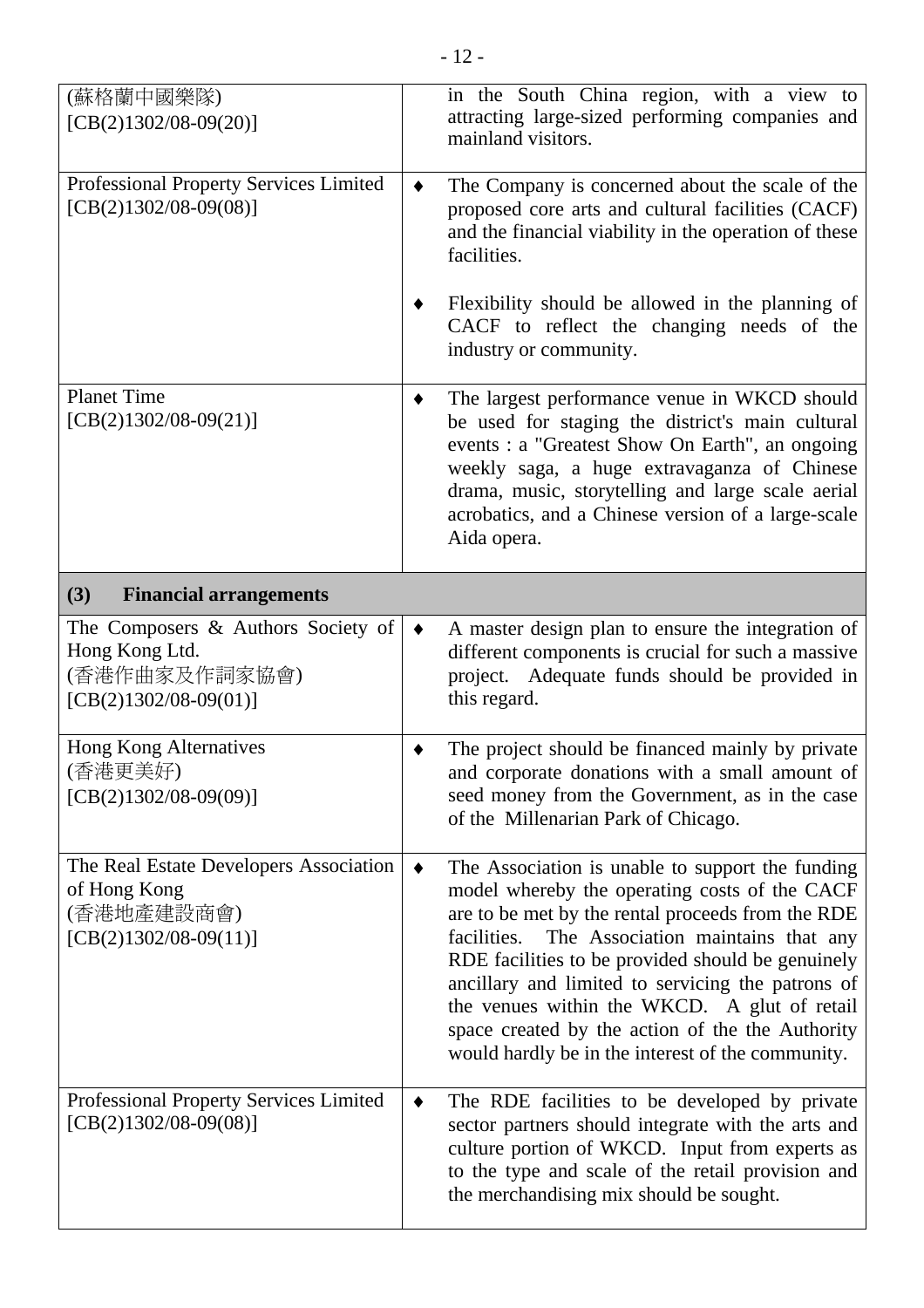| (蘇格蘭中國樂隊)<br>$[CB(2)1302/08-09(20)]$                                                                |                 | in the South China region, with a view to<br>attracting large-sized performing companies and<br>mainland visitors.                                                                                                                                                                                                                                                                                                                                                          |
|-----------------------------------------------------------------------------------------------------|-----------------|-----------------------------------------------------------------------------------------------------------------------------------------------------------------------------------------------------------------------------------------------------------------------------------------------------------------------------------------------------------------------------------------------------------------------------------------------------------------------------|
| Professional Property Services Limited<br>$[CB(2)1302/08-09(08)]$                                   | ٠               | The Company is concerned about the scale of the<br>proposed core arts and cultural facilities (CACF)<br>and the financial viability in the operation of these<br>facilities.                                                                                                                                                                                                                                                                                                |
|                                                                                                     |                 | Flexibility should be allowed in the planning of<br>CACF to reflect the changing needs of the<br>industry or community.                                                                                                                                                                                                                                                                                                                                                     |
| <b>Planet Time</b><br>$[CB(2)1302/08-09(21)]$                                                       | ٠               | The largest performance venue in WKCD should<br>be used for staging the district's main cultural<br>events : a "Greatest Show On Earth", an ongoing<br>weekly saga, a huge extravaganza of Chinese<br>drama, music, storytelling and large scale aerial<br>acrobatics, and a Chinese version of a large-scale<br>Aida opera.                                                                                                                                                |
| (3)<br><b>Financial arrangements</b>                                                                |                 |                                                                                                                                                                                                                                                                                                                                                                                                                                                                             |
| The Composers $\&$ Authors Society of<br>Hong Kong Ltd.<br>(香港作曲家及作詞家協會)<br>$[CB(2)1302/08-09(01)]$ | $\blacklozenge$ | A master design plan to ensure the integration of<br>different components is crucial for such a massive<br>project. Adequate funds should be provided in<br>this regard.                                                                                                                                                                                                                                                                                                    |
| <b>Hong Kong Alternatives</b><br>(香港更美好)<br>$[CB(2)1302/08-09(09)]$                                 |                 | The project should be financed mainly by private<br>and corporate donations with a small amount of<br>seed money from the Government, as in the case<br>of the Millenarian Park of Chicago.                                                                                                                                                                                                                                                                                 |
| The Real Estate Developers Association<br>of Hong Kong<br>(香港地產建設商會)<br>$[CB(2)1302/08-09(11)]$     | ٠               | The Association is unable to support the funding<br>model whereby the operating costs of the CACF<br>are to be met by the rental proceeds from the RDE<br>facilities. The Association maintains that any<br>RDE facilities to be provided should be genuinely<br>ancillary and limited to servicing the patrons of<br>the venues within the WKCD. A glut of retail<br>space created by the action of the the Authority<br>would hardly be in the interest of the community. |
| <b>Professional Property Services Limited</b><br>$[CB(2)1302/08-09(08)]$                            | ٠               | The RDE facilities to be developed by private<br>sector partners should integrate with the arts and<br>culture portion of WKCD. Input from experts as<br>to the type and scale of the retail provision and<br>the merchandising mix should be sought.                                                                                                                                                                                                                       |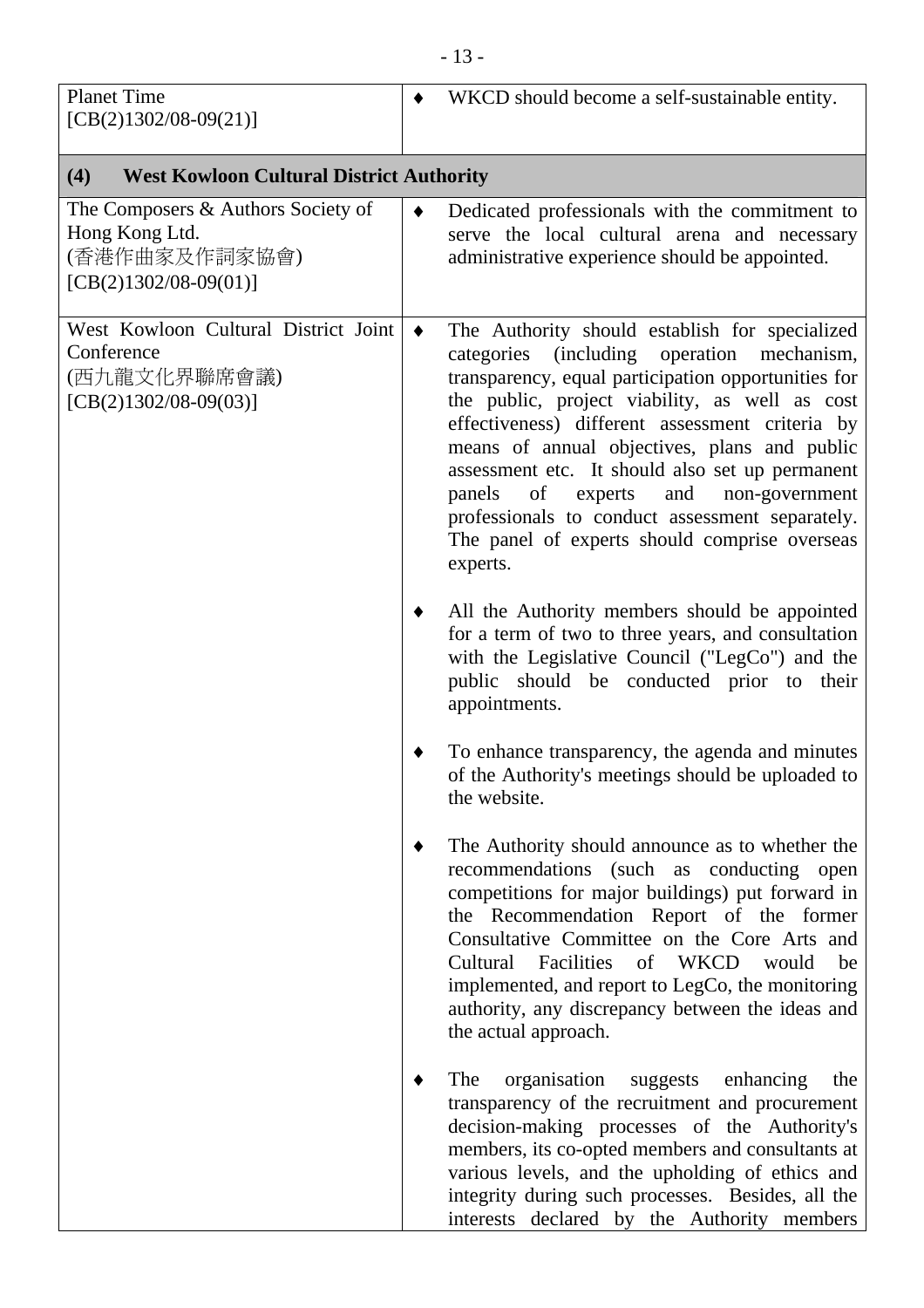| <b>Planet Time</b><br>$[CB(2)1302/08-09(21)]$                                                    |                 | WKCD should become a self-sustainable entity.                                                                                                                                                                                                                                                                                                                                                                                                                                                                                      |
|--------------------------------------------------------------------------------------------------|-----------------|------------------------------------------------------------------------------------------------------------------------------------------------------------------------------------------------------------------------------------------------------------------------------------------------------------------------------------------------------------------------------------------------------------------------------------------------------------------------------------------------------------------------------------|
| (4)<br><b>West Kowloon Cultural District Authority</b>                                           |                 |                                                                                                                                                                                                                                                                                                                                                                                                                                                                                                                                    |
| The Composers & Authors Society of<br>Hong Kong Ltd.<br>(香港作曲家及作詞家協會)<br>$[CB(2)1302/08-09(01)]$ | $\blacklozenge$ | Dedicated professionals with the commitment to<br>serve the local cultural arena and necessary<br>administrative experience should be appointed.                                                                                                                                                                                                                                                                                                                                                                                   |
| West Kowloon Cultural District Joint<br>Conference<br>(西九龍文化界聯席會議)<br>$[CB(2)1302/08-09(03)]$    | $\blacklozenge$ | The Authority should establish for specialized<br>(including operation mechanism,<br>categories<br>transparency, equal participation opportunities for<br>the public, project viability, as well as cost<br>effectiveness) different assessment criteria by<br>means of annual objectives, plans and public<br>assessment etc. It should also set up permanent<br>of<br>experts<br>and<br>non-government<br>panels<br>professionals to conduct assessment separately.<br>The panel of experts should comprise overseas<br>experts. |
|                                                                                                  |                 | All the Authority members should be appointed<br>for a term of two to three years, and consultation<br>with the Legislative Council ("LegCo") and the<br>public should be conducted prior to their<br>appointments.                                                                                                                                                                                                                                                                                                                |
|                                                                                                  |                 | To enhance transparency, the agenda and minutes<br>of the Authority's meetings should be uploaded to<br>the website.                                                                                                                                                                                                                                                                                                                                                                                                               |
|                                                                                                  |                 | The Authority should announce as to whether the<br>recommendations (such as conducting open<br>competitions for major buildings) put forward in<br>the Recommendation Report of the former<br>Consultative Committee on the Core Arts and<br>Facilities of WKCD<br>Cultural<br>would<br>be<br>implemented, and report to LegCo, the monitoring<br>authority, any discrepancy between the ideas and<br>the actual approach.                                                                                                         |
|                                                                                                  |                 | organisation suggests enhancing<br>The<br>the<br>transparency of the recruitment and procurement<br>decision-making processes of the Authority's<br>members, its co-opted members and consultants at<br>various levels, and the upholding of ethics and<br>integrity during such processes. Besides, all the<br>interests declared by the Authority members                                                                                                                                                                        |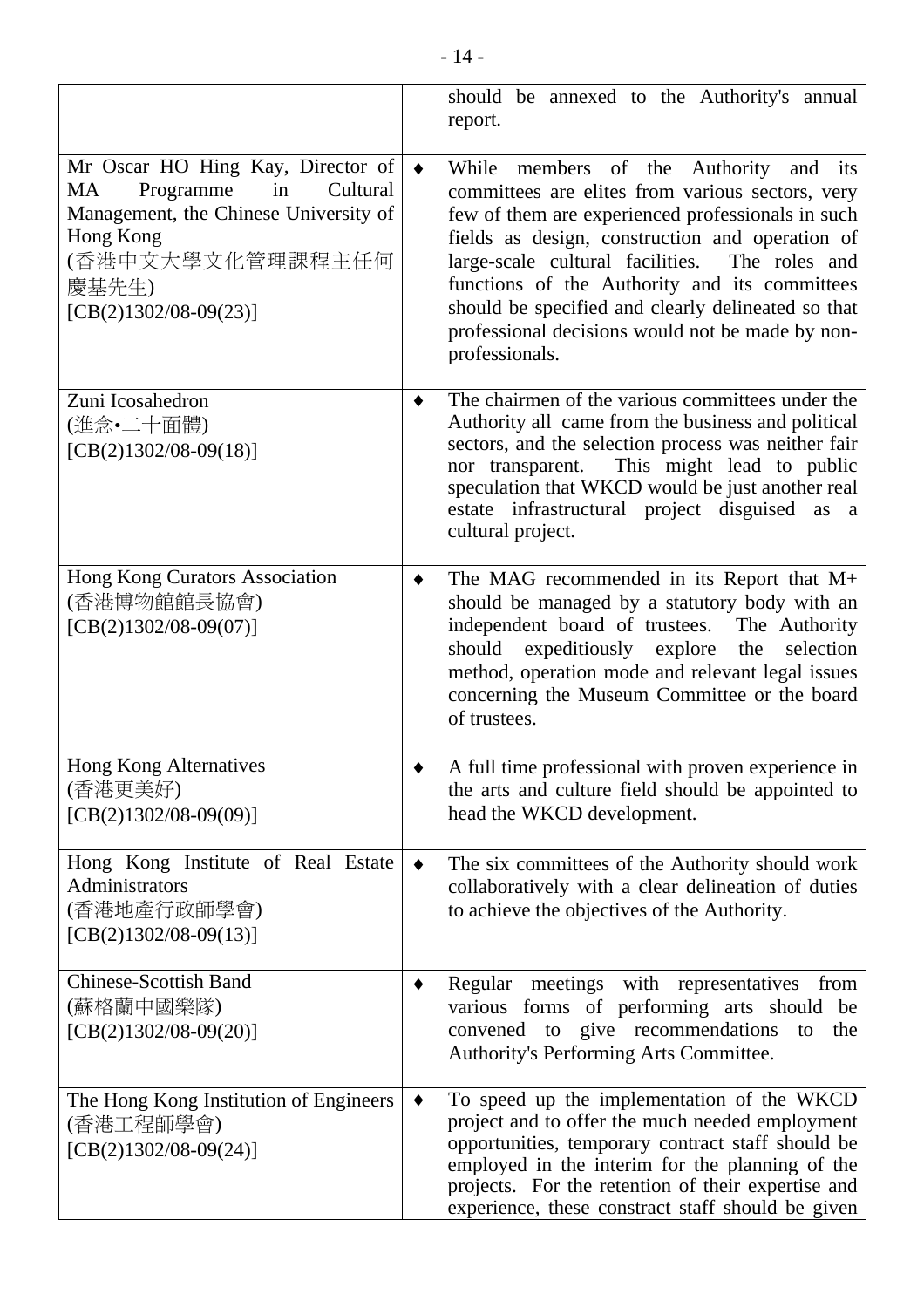|                                                                                                                 |           | should be annexed to the Authority's annual<br>report.                                                                                                                                                                                                                                                                                |
|-----------------------------------------------------------------------------------------------------------------|-----------|---------------------------------------------------------------------------------------------------------------------------------------------------------------------------------------------------------------------------------------------------------------------------------------------------------------------------------------|
| Mr Oscar HO Hing Kay, Director of<br>Programme<br>in<br>Cultural<br>MA<br>Management, the Chinese University of | $\bullet$ | While members of the Authority and its<br>committees are elites from various sectors, very<br>few of them are experienced professionals in such                                                                                                                                                                                       |
| Hong Kong<br>(香港中文大學文化管理課程主任何<br>慶基先生)                                                                          |           | fields as design, construction and operation of<br>large-scale cultural facilities. The roles and<br>functions of the Authority and its committees                                                                                                                                                                                    |
| $[CB(2)1302/08-09(23)]$                                                                                         |           | should be specified and clearly delineated so that<br>professional decisions would not be made by non-<br>professionals.                                                                                                                                                                                                              |
| Zuni Icosahedron<br>(進念•二十面體)<br>$[CB(2)1302/08-09(18)]$                                                        | ٠         | The chairmen of the various committees under the<br>Authority all came from the business and political<br>sectors, and the selection process was neither fair<br>nor transparent. This might lead to public<br>speculation that WKCD would be just another real<br>estate infrastructural project disguised as a<br>cultural project. |
| Hong Kong Curators Association<br>(香港博物館館長協會)<br>$[CB(2)1302/08-09(07)]$                                        | ٠         | The MAG recommended in its Report that $M+$<br>should be managed by a statutory body with an<br>independent board of trustees. The Authority<br>should expeditiously explore the<br>selection<br>method, operation mode and relevant legal issues<br>concerning the Museum Committee or the board<br>of trustees.                     |
| <b>Hong Kong Alternatives</b><br>(香港更美好)<br>$[CB(2)1302/08-09(09)]$                                             |           | A full time professional with proven experience in<br>the arts and culture field should be appointed to<br>head the WKCD development.                                                                                                                                                                                                 |
| Hong Kong Institute of Real Estate<br>Administrators<br>(香港地產行政師學會)<br>$[CB(2)1302/08-09(13)]$                  | ٠         | The six committees of the Authority should work<br>collaboratively with a clear delineation of duties<br>to achieve the objectives of the Authority.                                                                                                                                                                                  |
| <b>Chinese-Scottish Band</b><br>(蘇格蘭中國樂隊)<br>$[CB(2)1302/08-09(20)]$                                            |           | Regular meetings with representatives<br>from<br>various forms of performing arts should be<br>convened to give recommendations<br>to<br>the<br>Authority's Performing Arts Committee.                                                                                                                                                |
| The Hong Kong Institution of Engineers<br>(香港工程師學會)<br>$[CB(2)1302/08-09(24)]$                                  |           | To speed up the implementation of the WKCD<br>project and to offer the much needed employment<br>opportunities, temporary contract staff should be<br>employed in the interim for the planning of the<br>projects. For the retention of their expertise and<br>experience, these constract staff should be given                      |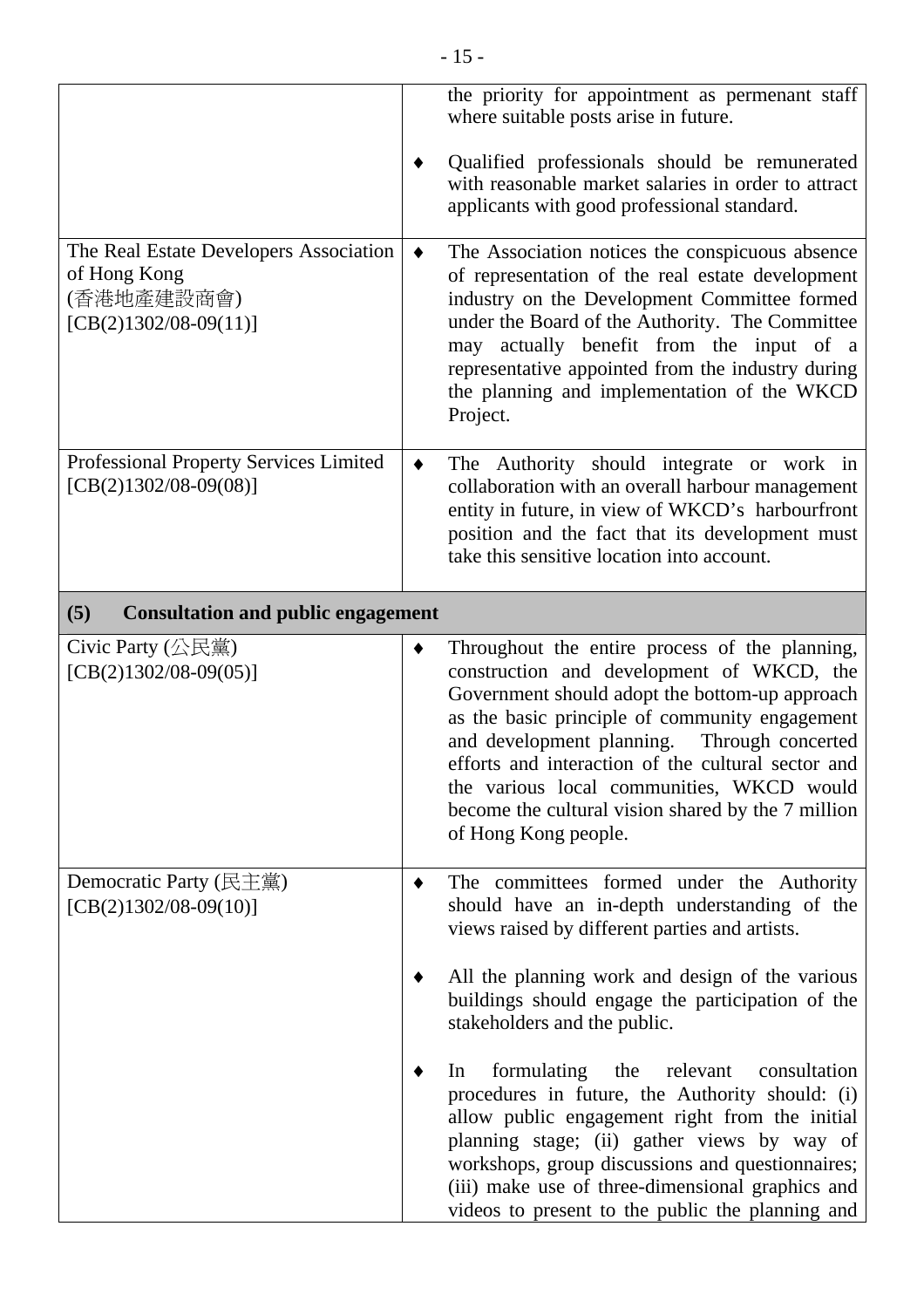|                                                                                                 | the priority for appointment as permenant staff<br>where suitable posts arise in future.                                                                                                                                                                                                                                                                                                                                                |
|-------------------------------------------------------------------------------------------------|-----------------------------------------------------------------------------------------------------------------------------------------------------------------------------------------------------------------------------------------------------------------------------------------------------------------------------------------------------------------------------------------------------------------------------------------|
|                                                                                                 | Qualified professionals should be remunerated<br>with reasonable market salaries in order to attract<br>applicants with good professional standard.                                                                                                                                                                                                                                                                                     |
| The Real Estate Developers Association<br>of Hong Kong<br>(香港地產建設商會)<br>$[CB(2)1302/08-09(11)]$ | The Association notices the conspicuous absence<br>٠<br>of representation of the real estate development<br>industry on the Development Committee formed<br>under the Board of the Authority. The Committee<br>may actually benefit from the input of a<br>representative appointed from the industry during<br>the planning and implementation of the WKCD<br>Project.                                                                 |
| Professional Property Services Limited<br>$[CB(2)1302/08-09(08)]$                               | The Authority should integrate or work in<br>collaboration with an overall harbour management<br>entity in future, in view of WKCD's harbourfront<br>position and the fact that its development must<br>take this sensitive location into account.                                                                                                                                                                                      |
| (5)<br><b>Consultation and public engagement</b>                                                |                                                                                                                                                                                                                                                                                                                                                                                                                                         |
| Civic Party $(\triangle \mathbb{R}$ 黨)<br>$[CB(2)1302/08-09(05)]$                               | Throughout the entire process of the planning,<br>٠<br>construction and development of WKCD, the<br>Government should adopt the bottom-up approach<br>as the basic principle of community engagement<br>and development planning.<br>Through concerted<br>efforts and interaction of the cultural sector and<br>the various local communities, WKCD would<br>become the cultural vision shared by the 7 million<br>of Hong Kong people. |
| Democratic Party (民主黨)<br>$[CB(2)1302/08-09(10)]$                                               | The committees formed under the Authority<br>should have an in-depth understanding of the<br>views raised by different parties and artists.                                                                                                                                                                                                                                                                                             |
|                                                                                                 | All the planning work and design of the various<br>buildings should engage the participation of the<br>stakeholders and the public.                                                                                                                                                                                                                                                                                                     |
|                                                                                                 | formulating<br>the<br>relevant<br>consultation<br>In<br>procedures in future, the Authority should: (i)<br>allow public engagement right from the initial<br>planning stage; (ii) gather views by way of<br>workshops, group discussions and questionnaires;<br>(iii) make use of three-dimensional graphics and                                                                                                                        |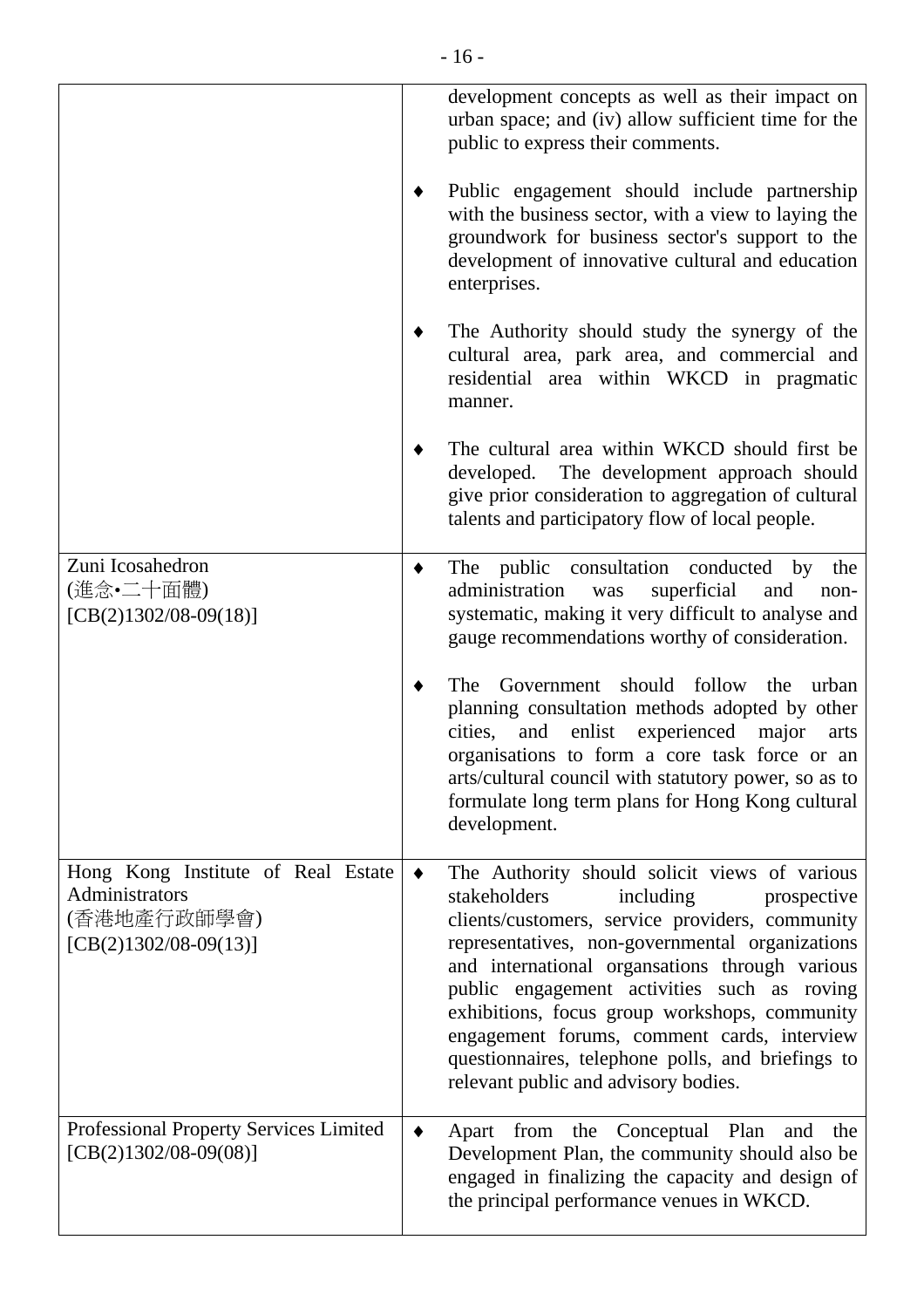|                                                                                                |   | development concepts as well as their impact on<br>urban space; and (iv) allow sufficient time for the<br>public to express their comments.                                                                                                                                                                                                                                                                                                                                                   |
|------------------------------------------------------------------------------------------------|---|-----------------------------------------------------------------------------------------------------------------------------------------------------------------------------------------------------------------------------------------------------------------------------------------------------------------------------------------------------------------------------------------------------------------------------------------------------------------------------------------------|
|                                                                                                |   | Public engagement should include partnership<br>with the business sector, with a view to laying the<br>groundwork for business sector's support to the<br>development of innovative cultural and education<br>enterprises.                                                                                                                                                                                                                                                                    |
|                                                                                                |   | The Authority should study the synergy of the<br>cultural area, park area, and commercial and<br>residential area within WKCD in pragmatic<br>manner.                                                                                                                                                                                                                                                                                                                                         |
|                                                                                                |   | The cultural area within WKCD should first be<br>developed. The development approach should<br>give prior consideration to aggregation of cultural<br>talents and participatory flow of local people.                                                                                                                                                                                                                                                                                         |
| Zuni Icosahedron<br>(進念•二十面體)<br>$[CB(2)1302/08-09(18)]$                                       |   | The public consultation conducted by<br>the<br>administration<br>superficial<br>and<br>was<br>non-<br>systematic, making it very difficult to analyse and<br>gauge recommendations worthy of consideration.                                                                                                                                                                                                                                                                                   |
|                                                                                                |   | Government should follow the<br>The<br>urban<br>planning consultation methods adopted by other<br>enlist<br>experienced major<br>cities,<br>and<br>arts<br>organisations to form a core task force or an<br>arts/cultural council with statutory power, so as to<br>formulate long term plans for Hong Kong cultural<br>development.                                                                                                                                                          |
| Hong Kong Institute of Real Estate<br>Administrators<br>(香港地產行政師學會)<br>$[CB(2)1302/08-09(13)]$ | ٠ | The Authority should solicit views of various<br>stakeholders<br>including<br>prospective<br>clients/customers, service providers, community<br>representatives, non-governmental organizations<br>and international organiations through various<br>public engagement activities such as roving<br>exhibitions, focus group workshops, community<br>engagement forums, comment cards, interview<br>questionnaires, telephone polls, and briefings to<br>relevant public and advisory bodies. |
| Professional Property Services Limited<br>$[CB(2)1302/08-09(08)]$                              |   | Conceptual Plan<br>Apart from the<br>and<br>the<br>Development Plan, the community should also be<br>engaged in finalizing the capacity and design of<br>the principal performance venues in WKCD.                                                                                                                                                                                                                                                                                            |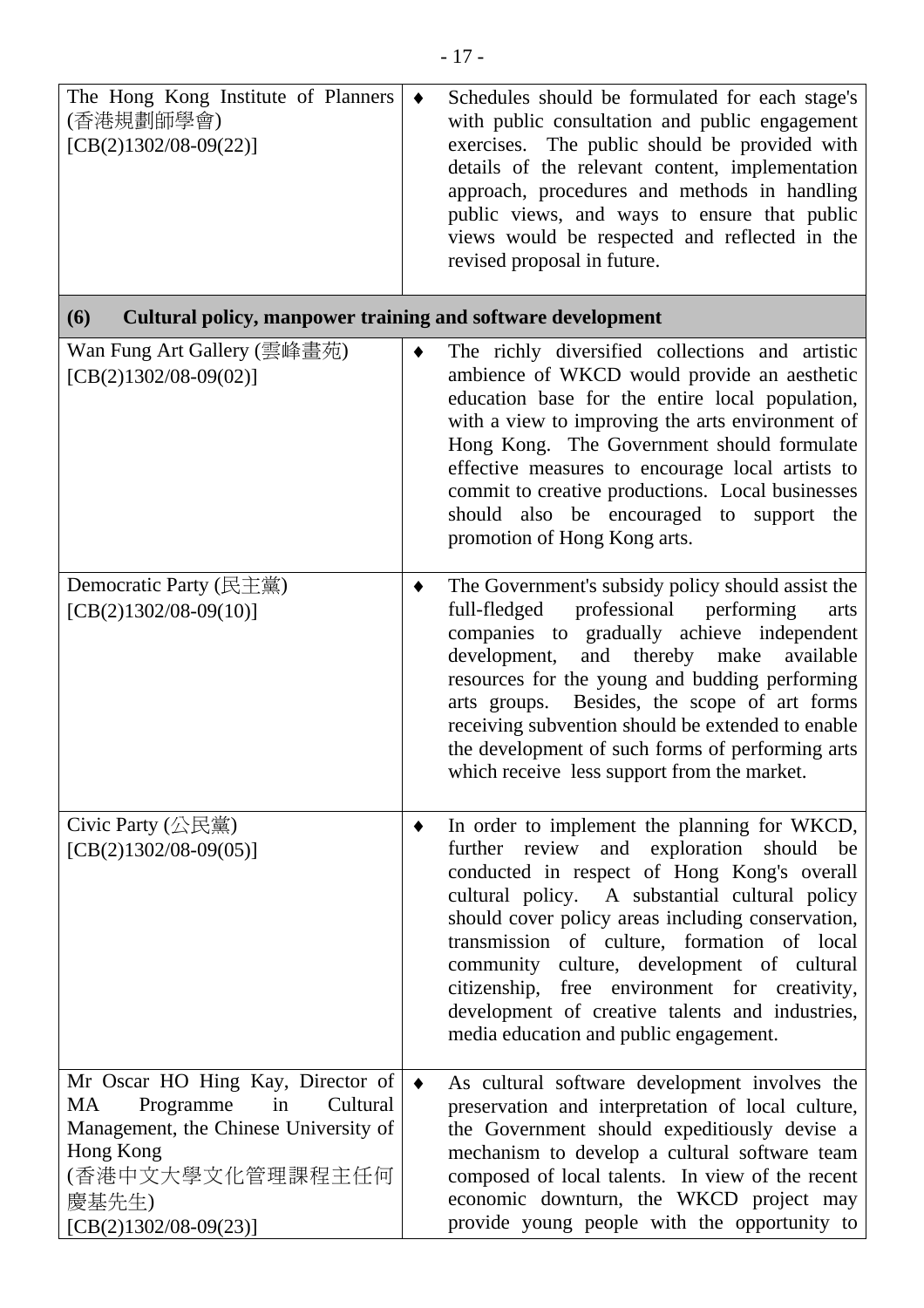| The Hong Kong Institute of Planners<br>(香港規劃師學會)<br>$[CB(2)1302/08-09(22)]$                                                                                                          | $\blacklozenge$ | Schedules should be formulated for each stage's<br>with public consultation and public engagement<br>exercises. The public should be provided with<br>details of the relevant content, implementation<br>approach, procedures and methods in handling<br>public views, and ways to ensure that public<br>views would be respected and reflected in the<br>revised proposal in future.                                                                                                     |
|--------------------------------------------------------------------------------------------------------------------------------------------------------------------------------------|-----------------|-------------------------------------------------------------------------------------------------------------------------------------------------------------------------------------------------------------------------------------------------------------------------------------------------------------------------------------------------------------------------------------------------------------------------------------------------------------------------------------------|
| Cultural policy, manpower training and software development<br>(6)                                                                                                                   |                 |                                                                                                                                                                                                                                                                                                                                                                                                                                                                                           |
| Wan Fung Art Gallery (雲峰畫苑)<br>$[CB(2)1302/08-09(02)]$                                                                                                                               | ٠               | The richly diversified collections and artistic<br>ambience of WKCD would provide an aesthetic<br>education base for the entire local population,<br>with a view to improving the arts environment of<br>Hong Kong. The Government should formulate<br>effective measures to encourage local artists to<br>commit to creative productions. Local businesses<br>should also be encouraged to support the<br>promotion of Hong Kong arts.                                                   |
| Democratic Party (民主黨)<br>$[CB(2)1302/08-09(10)]$                                                                                                                                    | ٠               | The Government's subsidy policy should assist the<br>full-fledged<br>professional<br>performing<br>arts<br>companies to gradually achieve independent<br>thereby<br>make<br>development,<br>and<br>available<br>resources for the young and budding performing<br>arts groups. Besides, the scope of art forms<br>receiving subvention should be extended to enable<br>the development of such forms of performing arts<br>which receive less support from the market.                    |
| Civic Party $(\triangle \mathbb{R}$ 黨)<br>$[CB(2)1302/08-09(05)]$                                                                                                                    | ٠               | In order to implement the planning for WKCD,<br>further review and exploration should be<br>conducted in respect of Hong Kong's overall<br>cultural policy. A substantial cultural policy<br>should cover policy areas including conservation,<br>transmission of culture, formation of local<br>community culture, development of cultural<br>citizenship, free environment for creativity,<br>development of creative talents and industries,<br>media education and public engagement. |
| Mr Oscar HO Hing Kay, Director of<br>Programme<br>Cultural<br>MA<br>in<br>Management, the Chinese University of<br>Hong Kong<br>(香港中文大學文化管理課程主任何<br>慶基先生)<br>$[CB(2)1302/08-09(23)]$ | $\blacklozenge$ | As cultural software development involves the<br>preservation and interpretation of local culture,<br>the Government should expeditiously devise a<br>mechanism to develop a cultural software team<br>composed of local talents. In view of the recent<br>economic downturn, the WKCD project may<br>provide young people with the opportunity to                                                                                                                                        |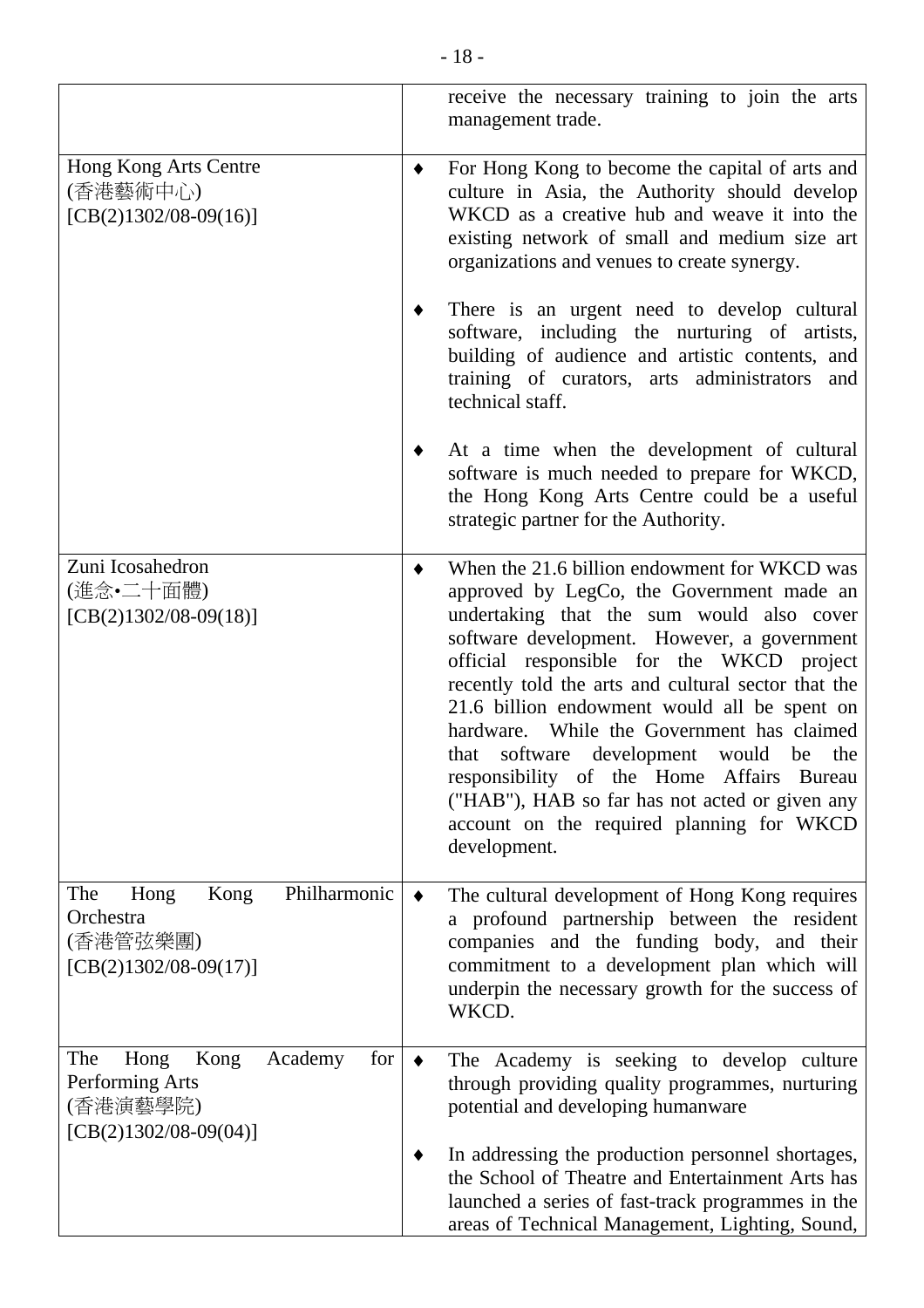|                                                                                                 |   | receive the necessary training to join the arts<br>management trade.                                                                                                                                                                                                                                                                                                                                                                                                                                                                                                                                |
|-------------------------------------------------------------------------------------------------|---|-----------------------------------------------------------------------------------------------------------------------------------------------------------------------------------------------------------------------------------------------------------------------------------------------------------------------------------------------------------------------------------------------------------------------------------------------------------------------------------------------------------------------------------------------------------------------------------------------------|
| Hong Kong Arts Centre<br>(香港藝術中心)<br>$[CB(2)1302/08-09(16)]$                                    | ٠ | For Hong Kong to become the capital of arts and<br>culture in Asia, the Authority should develop<br>WKCD as a creative hub and weave it into the<br>existing network of small and medium size art<br>organizations and venues to create synergy.                                                                                                                                                                                                                                                                                                                                                    |
|                                                                                                 |   | There is an urgent need to develop cultural<br>software, including the nurturing of artists,<br>building of audience and artistic contents, and<br>training of curators, arts administrators<br>and<br>technical staff.                                                                                                                                                                                                                                                                                                                                                                             |
|                                                                                                 |   | At a time when the development of cultural<br>software is much needed to prepare for WKCD,<br>the Hong Kong Arts Centre could be a useful<br>strategic partner for the Authority.                                                                                                                                                                                                                                                                                                                                                                                                                   |
| Zuni Icosahedron<br>(進念•二十面體)<br>$[CB(2)1302/08-09(18)]$                                        |   | When the 21.6 billion endowment for WKCD was<br>approved by LegCo, the Government made an<br>undertaking that the sum would also cover<br>software development. However, a government<br>official responsible for the WKCD project<br>recently told the arts and cultural sector that the<br>21.6 billion endowment would all be spent on<br>hardware. While the Government has claimed<br>that software development would<br>be<br>the<br>responsibility of the Home Affairs Bureau<br>("HAB"), HAB so far has not acted or given any<br>account on the required planning for WKCD<br>development. |
| Philharmonic<br>The<br>Hong<br>Kong<br>Orchestra<br>(香港管弦樂團)<br>$[CB(2)1302/08-09(17)]$         | ٠ | The cultural development of Hong Kong requires<br>a profound partnership between the resident<br>companies and the funding body, and their<br>commitment to a development plan which will<br>underpin the necessary growth for the success of<br>WKCD.                                                                                                                                                                                                                                                                                                                                              |
| The<br>Academy<br>for<br>Hong<br>Kong<br>Performing Arts<br>(香港演藝學院)<br>$[CB(2)1302/08-09(04)]$ | ٠ | The Academy is seeking to develop culture<br>through providing quality programmes, nurturing<br>potential and developing humanware<br>In addressing the production personnel shortages,<br>the School of Theatre and Entertainment Arts has<br>launched a series of fast-track programmes in the<br>areas of Technical Management, Lighting, Sound,                                                                                                                                                                                                                                                 |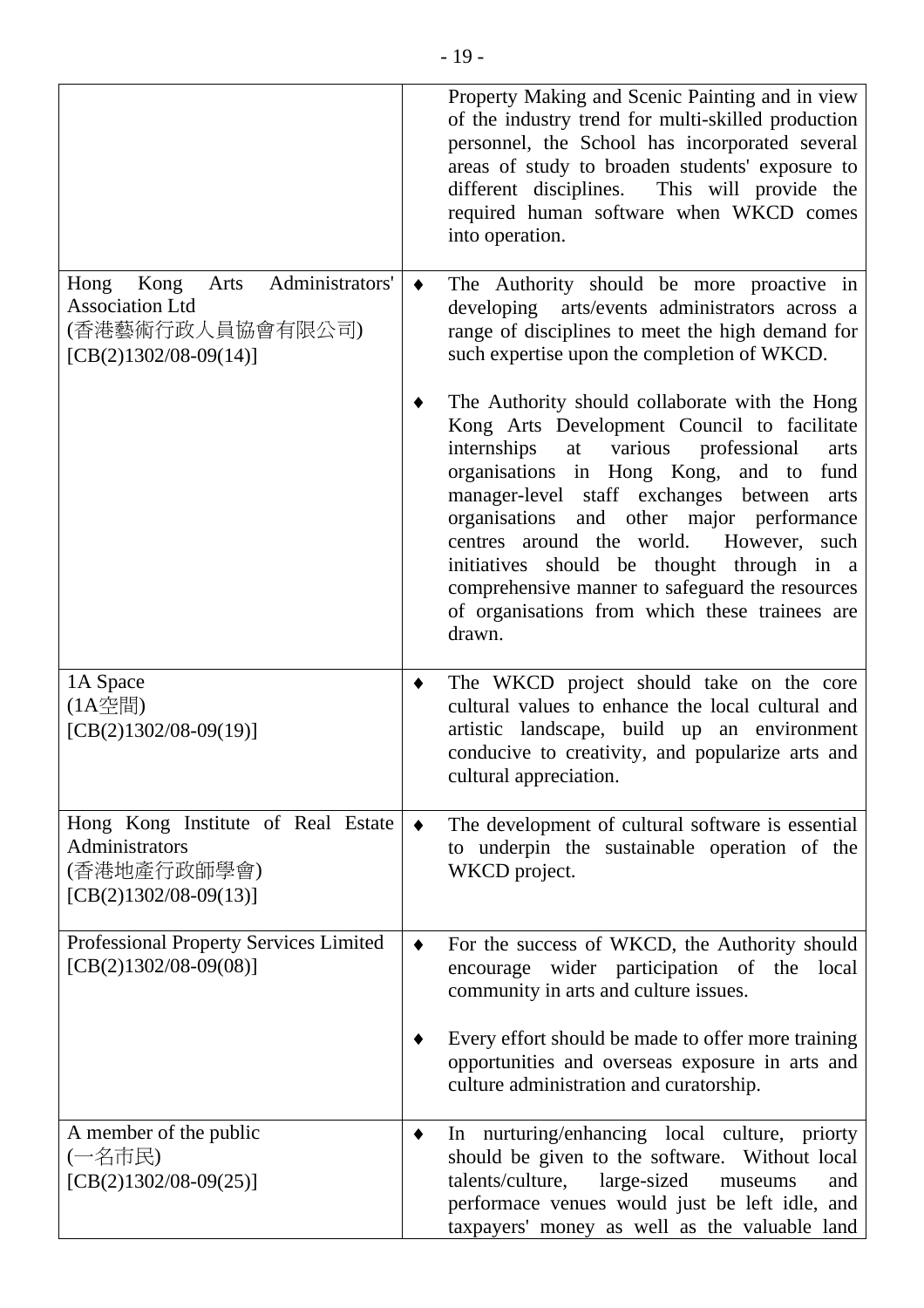|                                                                                                               |   | Property Making and Scenic Painting and in view<br>of the industry trend for multi-skilled production<br>personnel, the School has incorporated several<br>areas of study to broaden students' exposure to<br>different disciplines. This will provide the<br>required human software when WKCD comes<br>into operation.                                                                                                                                                                            |
|---------------------------------------------------------------------------------------------------------------|---|-----------------------------------------------------------------------------------------------------------------------------------------------------------------------------------------------------------------------------------------------------------------------------------------------------------------------------------------------------------------------------------------------------------------------------------------------------------------------------------------------------|
| Administrators'<br>Hong Kong<br>Arts<br><b>Association Ltd</b><br>(香港藝術行政人員協會有限公司)<br>$[CB(2)1302/08-09(14)]$ | ٠ | The Authority should be more proactive in<br>developing arts/events administrators across a<br>range of disciplines to meet the high demand for<br>such expertise upon the completion of WKCD.                                                                                                                                                                                                                                                                                                      |
|                                                                                                               |   | The Authority should collaborate with the Hong<br>Kong Arts Development Council to facilitate<br>internships<br>at various professional<br>arts<br>organisations in Hong Kong, and to<br>fund<br>manager-level staff exchanges between<br>arts<br>organisations and other major performance<br>centres around the world. However, such<br>initiatives should be thought through in a<br>comprehensive manner to safeguard the resources<br>of organisations from which these trainees are<br>drawn. |
| 1A Space<br>(1A空間)<br>$[CB(2)1302/08-09(19)]$                                                                 | ٠ | The WKCD project should take on the core<br>cultural values to enhance the local cultural and<br>artistic landscape, build up an environment<br>conducive to creativity, and popularize arts and<br>cultural appreciation.                                                                                                                                                                                                                                                                          |
| Hong Kong Institute of Real Estate<br>Administrators<br>(香港地產行政師學會)<br>$[CB(2)1302/08-09(13)]$                | ٠ | The development of cultural software is essential<br>to underpin the sustainable operation of the<br>WKCD project.                                                                                                                                                                                                                                                                                                                                                                                  |
| Professional Property Services Limited<br>$[CB(2)1302/08-09(08)]$                                             | ٠ | For the success of WKCD, the Authority should<br>encourage wider participation of the local<br>community in arts and culture issues.                                                                                                                                                                                                                                                                                                                                                                |
|                                                                                                               |   | Every effort should be made to offer more training<br>opportunities and overseas exposure in arts and<br>culture administration and curatorship.                                                                                                                                                                                                                                                                                                                                                    |
| A member of the public<br>(一名市民)<br>$[CB(2)1302/08-09(25)]$                                                   | ٠ | In nurturing/enhancing local culture, priorty<br>should be given to the software. Without local<br>talents/culture,<br>large-sized<br>museums<br>and<br>performace venues would just be left idle, and<br>taxpayers' money as well as the valuable land                                                                                                                                                                                                                                             |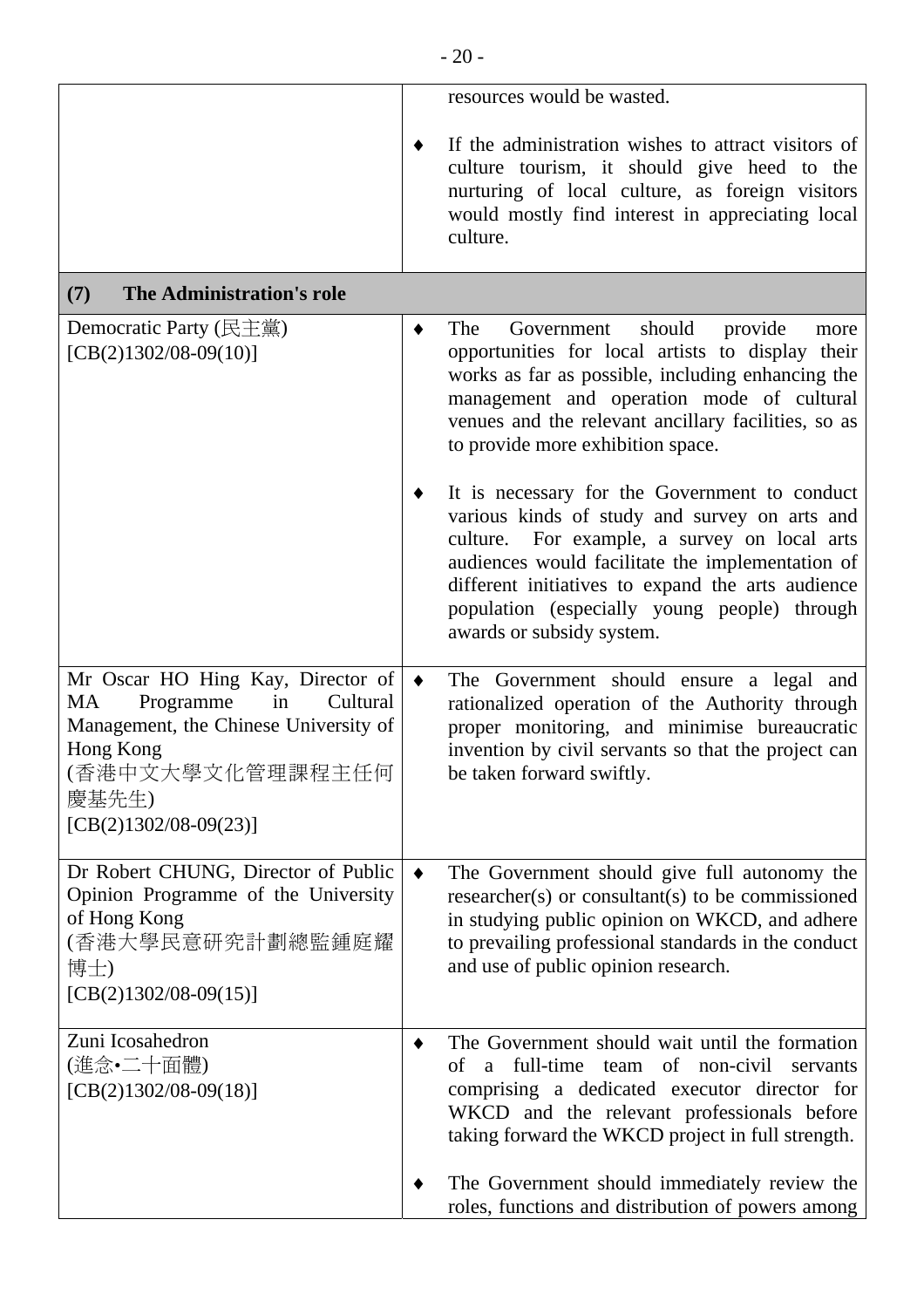|                                                                                                                                                                                             |                 | $-20-$                                                                                                                                                                                                                                                                                                                                                                                                                                             |
|---------------------------------------------------------------------------------------------------------------------------------------------------------------------------------------------|-----------------|----------------------------------------------------------------------------------------------------------------------------------------------------------------------------------------------------------------------------------------------------------------------------------------------------------------------------------------------------------------------------------------------------------------------------------------------------|
|                                                                                                                                                                                             |                 | resources would be wasted.                                                                                                                                                                                                                                                                                                                                                                                                                         |
|                                                                                                                                                                                             |                 | If the administration wishes to attract visitors of<br>culture tourism, it should give heed to the<br>nurturing of local culture, as foreign visitors<br>would mostly find interest in appreciating local<br>culture.                                                                                                                                                                                                                              |
| <b>The Administration's role</b><br>(7)                                                                                                                                                     |                 |                                                                                                                                                                                                                                                                                                                                                                                                                                                    |
| Democratic Party (民主黨)<br>$[CB(2)1302/08-09(10)]$                                                                                                                                           |                 | should<br>The<br>provide<br>Government<br>more<br>opportunities for local artists to display their<br>works as far as possible, including enhancing the<br>management and operation mode of cultural<br>venues and the relevant ancillary facilities, so as<br>to provide more exhibition space.<br>It is necessary for the Government to conduct<br>various kinds of study and survey on arts and<br>culture. For example, a survey on local arts |
|                                                                                                                                                                                             |                 | audiences would facilitate the implementation of<br>different initiatives to expand the arts audience<br>population (especially young people) through<br>awards or subsidy system.                                                                                                                                                                                                                                                                 |
| Mr Oscar HO Hing Kay, Director of<br><b>MA</b><br>Programme<br>Cultural<br>in<br>Management, the Chinese University of<br>Hong Kong<br>(香港中文大學文化管理課程主任何<br>慶基先生)<br>$[CB(2)1302/08-09(23)]$ | $\blacklozenge$ | The Government should ensure a legal and<br>rationalized operation of the Authority through<br>proper monitoring, and minimise bureaucratic<br>invention by civil servants so that the project can<br>be taken forward swiftly.                                                                                                                                                                                                                    |
| Dr Robert CHUNG, Director of Public<br>Opinion Programme of the University<br>of Hong Kong<br>(香港大學民意研究計劃總監鍾庭耀<br>博士)<br>$[CB(2)1302/08-09(15)]$                                            |                 | The Government should give full autonomy the<br>researcher(s) or consultant(s) to be commissioned<br>in studying public opinion on WKCD, and adhere<br>to prevailing professional standards in the conduct<br>and use of public opinion research.                                                                                                                                                                                                  |
| Zuni Icosahedron<br>(進念•二十面體)<br>$[CB(2)1302/08-09(18)]$                                                                                                                                    |                 | The Government should wait until the formation<br>a full-time team<br>of<br>of non-civil<br>servants<br>comprising a dedicated executor director for<br>WKCD and the relevant professionals before<br>taking forward the WKCD project in full strength.<br>The Government should immediately review the<br>roles, functions and distribution of powers among                                                                                       |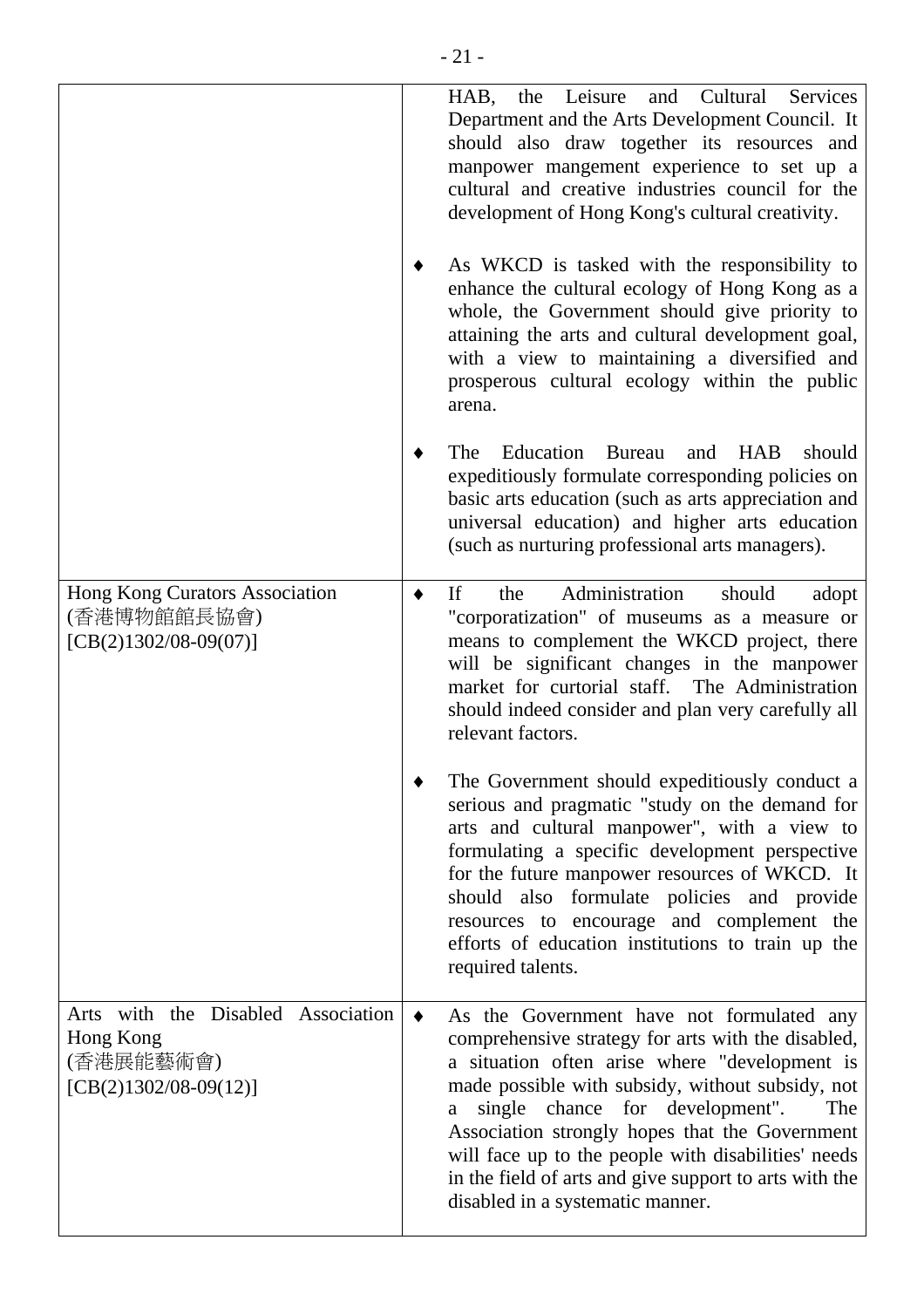|                                                                                         |   | Leisure<br>and Cultural<br>Services<br>HAB,<br>the<br>Department and the Arts Development Council. It<br>should also draw together its resources and<br>manpower mangement experience to set up a<br>cultural and creative industries council for the<br>development of Hong Kong's cultural creativity.                                                                                                                                                   |
|-----------------------------------------------------------------------------------------|---|------------------------------------------------------------------------------------------------------------------------------------------------------------------------------------------------------------------------------------------------------------------------------------------------------------------------------------------------------------------------------------------------------------------------------------------------------------|
|                                                                                         |   | As WKCD is tasked with the responsibility to<br>enhance the cultural ecology of Hong Kong as a<br>whole, the Government should give priority to<br>attaining the arts and cultural development goal,<br>with a view to maintaining a diversified and<br>prosperous cultural ecology within the public<br>arena.                                                                                                                                            |
|                                                                                         |   | Education<br>Bureau<br>should<br>The<br>and<br><b>HAB</b><br>expeditiously formulate corresponding policies on<br>basic arts education (such as arts appreciation and<br>universal education) and higher arts education<br>(such as nurturing professional arts managers).                                                                                                                                                                                 |
| Hong Kong Curators Association<br>(香港博物館館長協會)<br>$[CB(2)1302/08-09(07)]$                |   | Administration<br>should<br>If<br>the<br>adopt<br>"corporatization" of museums as a measure or<br>means to complement the WKCD project, there<br>will be significant changes in the manpower<br>market for curtorial staff. The Administration<br>should indeed consider and plan very carefully all<br>relevant factors.                                                                                                                                  |
|                                                                                         |   | The Government should expeditiously conduct a<br>serious and pragmatic "study on the demand for<br>arts and cultural manpower", with a view to<br>formulating a specific development perspective<br>for the future manpower resources of WKCD. It<br>should also formulate policies and provide<br>resources to encourage and complement the<br>efforts of education institutions to train up the<br>required talents.                                     |
| Arts with the Disabled Association<br>Hong Kong<br>(香港展能藝術會)<br>$[CB(2)1302/08-09(12)]$ | ٠ | As the Government have not formulated any<br>comprehensive strategy for arts with the disabled,<br>a situation often arise where "development is<br>made possible with subsidy, without subsidy, not<br>single chance for development".<br>The<br>a<br>Association strongly hopes that the Government<br>will face up to the people with disabilities' needs<br>in the field of arts and give support to arts with the<br>disabled in a systematic manner. |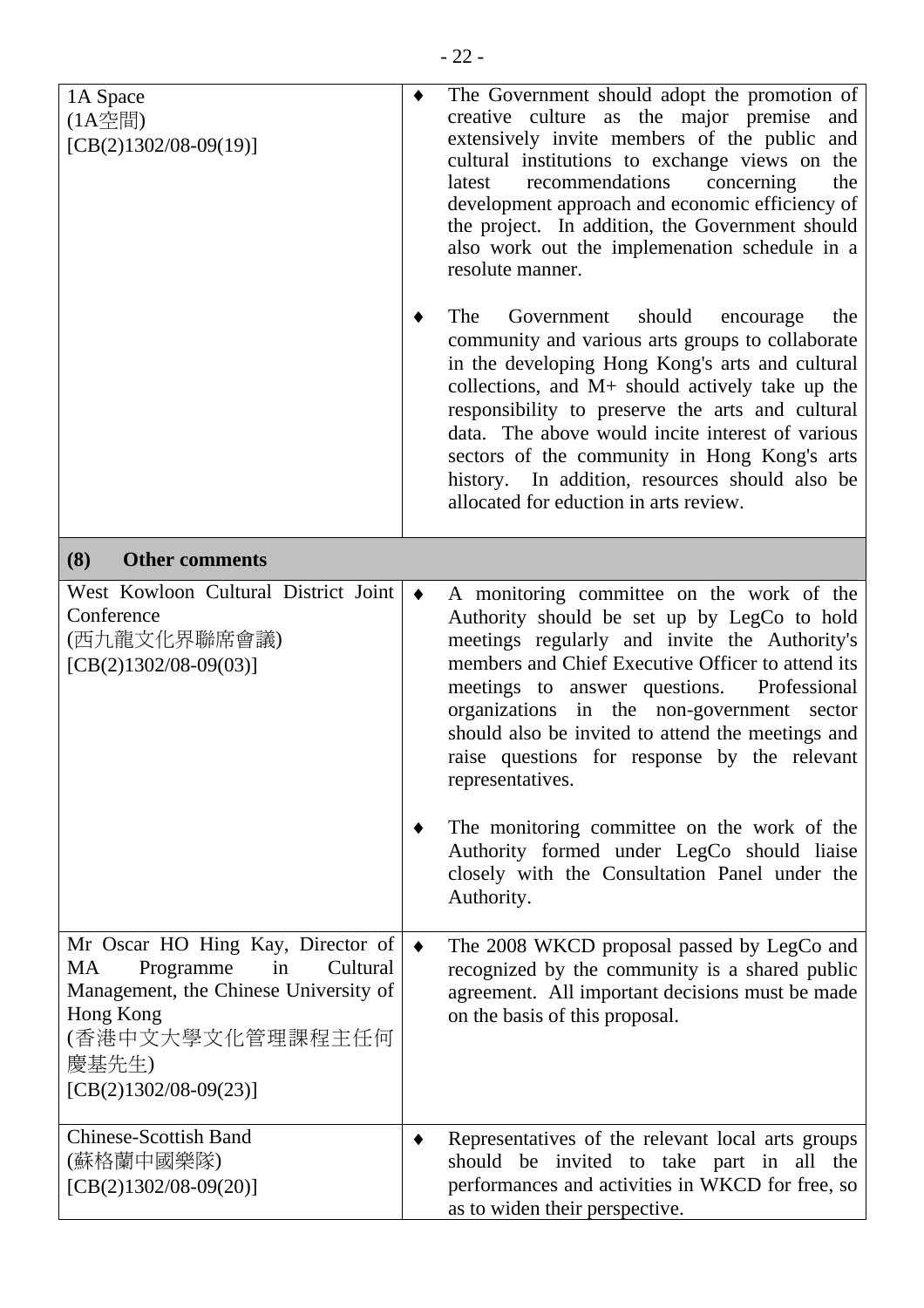| 1A Space<br>(1A空間)<br>$[CB(2)1302/08-09(19)]$                                                                                                                                        |           | The Government should adopt the promotion of<br>creative culture as the major premise and<br>extensively invite members of the public and<br>cultural institutions to exchange views on the<br>recommendations<br>latest<br>concerning<br>the<br>development approach and economic efficiency of<br>the project. In addition, the Government should<br>also work out the implemenation schedule in a<br>resolute manner.                                                                                                                                                           |
|--------------------------------------------------------------------------------------------------------------------------------------------------------------------------------------|-----------|------------------------------------------------------------------------------------------------------------------------------------------------------------------------------------------------------------------------------------------------------------------------------------------------------------------------------------------------------------------------------------------------------------------------------------------------------------------------------------------------------------------------------------------------------------------------------------|
|                                                                                                                                                                                      |           | The<br>should<br>Government<br>encourage<br>the<br>community and various arts groups to collaborate<br>in the developing Hong Kong's arts and cultural<br>collections, and M+ should actively take up the<br>responsibility to preserve the arts and cultural<br>data. The above would incite interest of various<br>sectors of the community in Hong Kong's arts<br>history. In addition, resources should also be<br>allocated for eduction in arts review.                                                                                                                      |
| (8)<br><b>Other comments</b>                                                                                                                                                         |           |                                                                                                                                                                                                                                                                                                                                                                                                                                                                                                                                                                                    |
| West Kowloon Cultural District Joint<br>Conference<br>(西九龍文化界聯席會議)<br>$[CB(2)1302/08-09(03)]$                                                                                        | ◆         | A monitoring committee on the work of the<br>Authority should be set up by LegCo to hold<br>meetings regularly and invite the Authority's<br>members and Chief Executive Officer to attend its<br>meetings to answer questions.<br>Professional<br>organizations in the non-government sector<br>should also be invited to attend the meetings and<br>raise questions for response by the relevant<br>representatives.<br>The monitoring committee on the work of the<br>Authority formed under LegCo should liaise<br>closely with the Consultation Panel under the<br>Authority. |
| Mr Oscar HO Hing Kay, Director of<br>Programme<br>Cultural<br>MA<br>in<br>Management, the Chinese University of<br>Hong Kong<br>(香港中文大學文化管理課程主任何<br>慶基先生)<br>$[CB(2)1302/08-09(23)]$ | $\bullet$ | The 2008 WKCD proposal passed by LegCo and<br>recognized by the community is a shared public<br>agreement. All important decisions must be made<br>on the basis of this proposal.                                                                                                                                                                                                                                                                                                                                                                                                  |
| <b>Chinese-Scottish Band</b><br>(蘇格蘭中國樂隊)<br>$[CB(2)1302/08-09(20)]$                                                                                                                 | ♦         | Representatives of the relevant local arts groups<br>should be invited to take part in all the<br>performances and activities in WKCD for free, so<br>as to widen their perspective.                                                                                                                                                                                                                                                                                                                                                                                               |